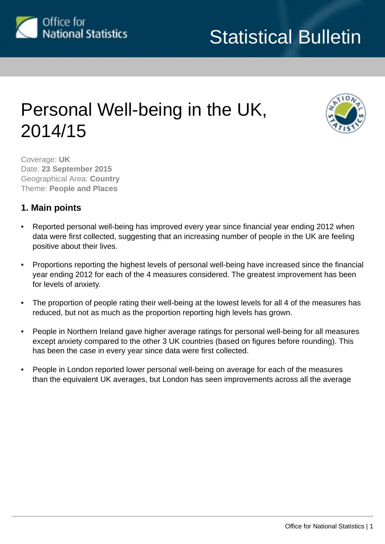

# Personal Well-being in the UK, 2014/15



Coverage: **UK** Date: **23 September 2015** Geographical Area: **Country** Theme: **People and Places**

# **1. Main points**

- Reported personal well-being has improved every year since financial year ending 2012 when data were first collected, suggesting that an increasing number of people in the UK are feeling positive about their lives.
- Proportions reporting the highest levels of personal well-being have increased since the financial year ending 2012 for each of the 4 measures considered. The greatest improvement has been for levels of anxiety.
- The proportion of people rating their well-being at the lowest levels for all 4 of the measures has reduced, but not as much as the proportion reporting high levels has grown.
- People in Northern Ireland gave higher average ratings for personal well-being for all measures except anxiety compared to the other 3 UK countries (based on figures before rounding). This has been the case in every year since data were first collected.
- People in London reported lower personal well-being on average for each of the measures than the equivalent UK averages, but London has seen improvements across all the average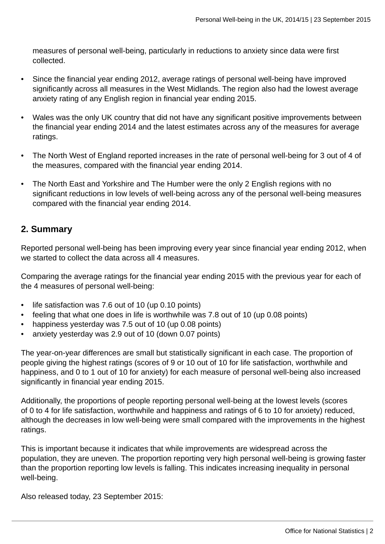measures of personal well-being, particularly in reductions to anxiety since data were first collected.

- Since the financial year ending 2012, average ratings of personal well-being have improved significantly across all measures in the West Midlands. The region also had the lowest average anxiety rating of any English region in financial year ending 2015.
- Wales was the only UK country that did not have any significant positive improvements between the financial year ending 2014 and the latest estimates across any of the measures for average ratings.
- The North West of England reported increases in the rate of personal well-being for 3 out of 4 of the measures, compared with the financial year ending 2014.
- The North East and Yorkshire and The Humber were the only 2 English regions with no significant reductions in low levels of well-being across any of the personal well-being measures compared with the financial year ending 2014.

# **2. Summary**

Reported personal well-being has been improving every year since financial year ending 2012, when we started to collect the data across all 4 measures.

Comparing the average ratings for the financial year ending 2015 with the previous year for each of the 4 measures of personal well-being:

- life satisfaction was 7.6 out of 10 (up 0.10 points)
- feeling that what one does in life is worthwhile was 7.8 out of 10 (up 0.08 points)
- happiness yesterday was 7.5 out of 10 (up 0.08 points)
- anxiety yesterday was 2.9 out of 10 (down 0.07 points)

The year-on-year differences are small but statistically significant in each case. The proportion of people giving the highest ratings (scores of 9 or 10 out of 10 for life satisfaction, worthwhile and happiness, and 0 to 1 out of 10 for anxiety) for each measure of personal well-being also increased significantly in financial year ending 2015.

Additionally, the proportions of people reporting personal well-being at the lowest levels (scores of 0 to 4 for life satisfaction, worthwhile and happiness and ratings of 6 to 10 for anxiety) reduced, although the decreases in low well-being were small compared with the improvements in the highest ratings.

This is important because it indicates that while improvements are widespread across the population, they are uneven. The proportion reporting very high personal well-being is growing faster than the proportion reporting low levels is falling. This indicates increasing inequality in personal well-being.

Also released today, 23 September 2015: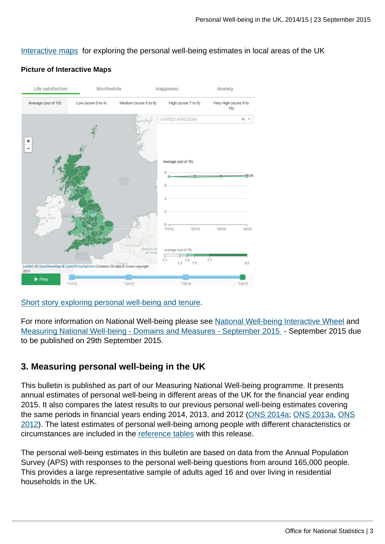#### [Interactive maps](http://www.ons.gov.uk:80/ons/external-links/about-statistics/wellbeing/personal-well-being-across-the-uk-interactive-map.html) for exploring the personal well-being estimates in local areas of the UK

#### Life satisfaction Worthwhile **Happiness** Anxiety Average (out of 10) Low (score 0 to 4) Medium (score 5 to 6) High (score 7 to 8) Very High (score 9 to 10)  $\times$   $\times$ **UNITED KINGDOM**  $\frac{+}{-}$ werage (out of 10) **RUK** nón ฯมหร  $75$ 82 Leaflet | COp **OC**  $1.80$ 2015  $\blacktriangleright$  Play  $11/12$  $12/13$  $13/14$ 14/15

#### **Picture of Interactive Maps**

[Short story exploring personal well-being and tenure.](http://www.ons.gov.uk:80/ons/rel/wellbeing/measuring-national-well-being/personal-well-being-in-the-uk--2014-15/sty-personal-well-being-and-housing-tenure.html)

For more information on National Well-being please see [National Well-being Interactive Wheel](http://www.ons.gov.uk:80/ons/external-links/other-ns-online/neighbourhood-statistics--ness-/national-well-being-interactive-wheel.html) and [Measuring National Well-being - Domains and Measures - September 2015](http://www.ons.gov.uk:80/ons) - September 2015 due to be published on 29th September 2015.

# **3. Measuring personal well-being in the UK**

This bulletin is published as part of our Measuring National Well-being programme. It presents annual estimates of personal well-being in different areas of the UK for the financial year ending 2015. It also compares the latest results to our previous personal well-being estimates covering the same periods in financial years ending 2014, 2013, and 2012 ([ONS 2014a](http://www.ons.gov.uk:80/ons/rel/wellbeing/measuring-national-well-being/personal-well-being-in-the-uk--2013-14/index.html); [ONS 2013a,](http://www.ons.gov.uk:80/ons/rel/wellbeing/measuring-national-well-being/personal-well-being-in-the-uk--2012-13/index.html) [ONS](http://www.ons.gov.uk:80/ons/rel/wellbeing/measuring-subjective-wellbeing-in-the-uk/first-annual-ons-experimental-subjective-well-being-results/index.html) [2012](http://www.ons.gov.uk:80/ons/rel/wellbeing/measuring-subjective-wellbeing-in-the-uk/first-annual-ons-experimental-subjective-well-being-results/index.html)). The latest estimates of personal well-being among people with different characteristics or circumstances are included in the [reference tables](http://www.ons.gov.uk/ons/publications/re-reference-tables.html?edition=tcm%3A77-407641) with this release.

The personal well-being estimates in this bulletin are based on data from the Annual Population Survey (APS) with responses to the personal well-being questions from around 165,000 people. This provides a large representative sample of adults aged 16 and over living in residential households in the UK.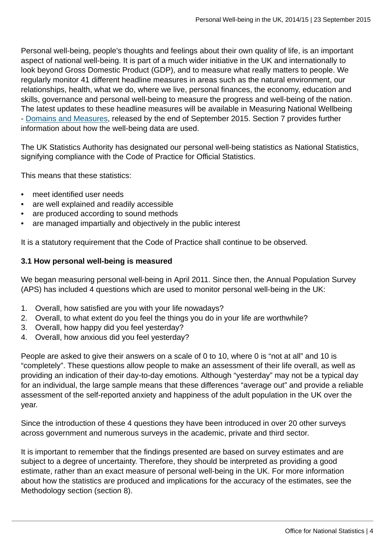Personal well-being, people's thoughts and feelings about their own quality of life, is an important aspect of national well-being. It is part of a much wider initiative in the UK and internationally to look beyond Gross Domestic Product (GDP), and to measure what really matters to people. We regularly monitor 41 different headline measures in areas such as the natural environment, our relationships, health, what we do, where we live, personal finances, the economy, education and skills, governance and personal well-being to measure the progress and well-being of the nation. The latest updates to these headline measures will be available in Measuring National Wellbeing - [Domains and Measures](http://www.ons.gov.uk:80/ons), released by the end of September 2015. Section 7 provides further information about how the well-being data are used.

The UK Statistics Authority has designated our personal well-being statistics as National Statistics, signifying compliance with the Code of Practice for Official Statistics.

This means that these statistics:

- meet identified user needs
- are well explained and readily accessible
- are produced according to sound methods
- are managed impartially and objectively in the public interest

It is a statutory requirement that the Code of Practice shall continue to be observed.

#### **3.1 How personal well-being is measured**

We began measuring personal well-being in April 2011. Since then, the Annual Population Survey (APS) has included 4 questions which are used to monitor personal well-being in the UK:

- 1. Overall, how satisfied are you with your life nowadays?
- 2. Overall, to what extent do you feel the things you do in your life are worthwhile?
- 3. Overall, how happy did you feel yesterday?
- 4. Overall, how anxious did you feel yesterday?

People are asked to give their answers on a scale of 0 to 10, where 0 is "not at all" and 10 is "completely". These questions allow people to make an assessment of their life overall, as well as providing an indication of their day-to-day emotions. Although "yesterday" may not be a typical day for an individual, the large sample means that these differences "average out" and provide a reliable assessment of the self-reported anxiety and happiness of the adult population in the UK over the year.

Since the introduction of these 4 questions they have been introduced in over 20 other surveys across government and numerous surveys in the academic, private and third sector.

It is important to remember that the findings presented are based on survey estimates and are subject to a degree of uncertainty. Therefore, they should be interpreted as providing a good estimate, rather than an exact measure of personal well-being in the UK. For more information about how the statistics are produced and implications for the accuracy of the estimates, see the Methodology section (section 8).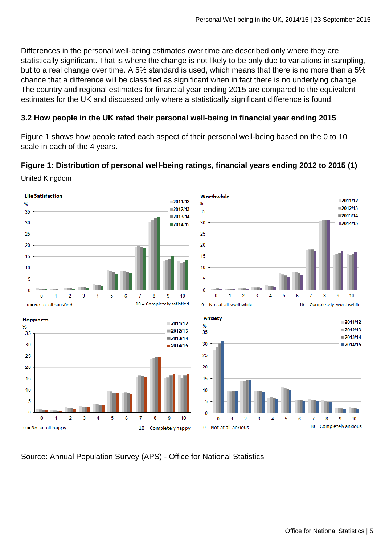Differences in the personal well-being estimates over time are described only where they are statistically significant. That is where the change is not likely to be only due to variations in sampling, but to a real change over time. A 5% standard is used, which means that there is no more than a 5% chance that a difference will be classified as significant when in fact there is no underlying change. The country and regional estimates for financial year ending 2015 are compared to the equivalent estimates for the UK and discussed only where a statistically significant difference is found.

#### **3.2 How people in the UK rated their personal well-being in financial year ending 2015**

Figure 1 shows how people rated each aspect of their personal well-being based on the 0 to 10 scale in each of the 4 years.

## **Figure 1: Distribution of personal well-being ratings, financial years ending 2012 to 2015 (1)**



United Kingdom

**Happiness**  $-2011/12$ %  $\blacksquare$  2012/13 35  $2013/14$ 30  $2014/15$ 25 20 15 10 5  $\bf{0}$ 5 6  $\theta$ 2 3 4 8 10 1 7 9  $0 = Not$  at all happy 10 = Completely happy



Source: Annual Population Survey (APS) - Office for National Statistics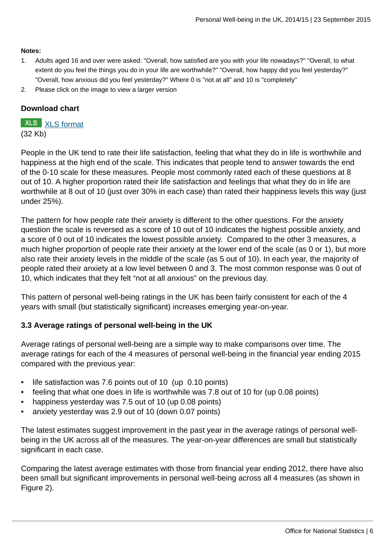#### **Notes:**

- 1. Adults aged 16 and over were asked: "Overall, how satisfied are you with your life nowadays?" "Overall, to what extent do you feel the things you do in your life are worthwhile?" "Overall, how happy did you feel yesterday?" "Overall, how anxious did you feel yesterday?" Where 0 is "not at all" and 10 is "completely"
- 2. Please click on the image to view a larger version

## **Download chart**

**XLS** [XLS format](http://www.ons.gov.uk:80/ons/rel/wellbeing/measuring-national-well-being/personal-well-being-in-the-uk--2014-15/chd-figure-1.xls) (32 Kb)

People in the UK tend to rate their life satisfaction, feeling that what they do in life is worthwhile and happiness at the high end of the scale. This indicates that people tend to answer towards the end of the 0-10 scale for these measures. People most commonly rated each of these questions at 8 out of 10. A higher proportion rated their life satisfaction and feelings that what they do in life are worthwhile at 8 out of 10 (just over 30% in each case) than rated their happiness levels this way (just under 25%).

The pattern for how people rate their anxiety is different to the other questions. For the anxiety question the scale is reversed as a score of 10 out of 10 indicates the highest possible anxiety, and a score of 0 out of 10 indicates the lowest possible anxiety. Compared to the other 3 measures, a much higher proportion of people rate their anxiety at the lower end of the scale (as 0 or 1), but more also rate their anxiety levels in the middle of the scale (as 5 out of 10). In each year, the majority of people rated their anxiety at a low level between 0 and 3. The most common response was 0 out of 10, which indicates that they felt "not at all anxious" on the previous day.

This pattern of personal well-being ratings in the UK has been fairly consistent for each of the 4 years with small (but statistically significant) increases emerging year-on-year.

## **3.3 Average ratings of personal well-being in the UK**

Average ratings of personal well-being are a simple way to make comparisons over time. The average ratings for each of the 4 measures of personal well-being in the financial year ending 2015 compared with the previous year:

- life satisfaction was 7.6 points out of 10 (up 0.10 points)
- feeling that what one does in life is worthwhile was 7.8 out of 10 for (up 0.08 points)
- happiness yesterday was 7.5 out of 10 (up 0.08 points)
- anxiety yesterday was 2.9 out of 10 (down 0.07 points)

The latest estimates suggest improvement in the past year in the average ratings of personal wellbeing in the UK across all of the measures. The year-on-year differences are small but statistically significant in each case.

Comparing the latest average estimates with those from financial year ending 2012, there have also been small but significant improvements in personal well-being across all 4 measures (as shown in Figure 2).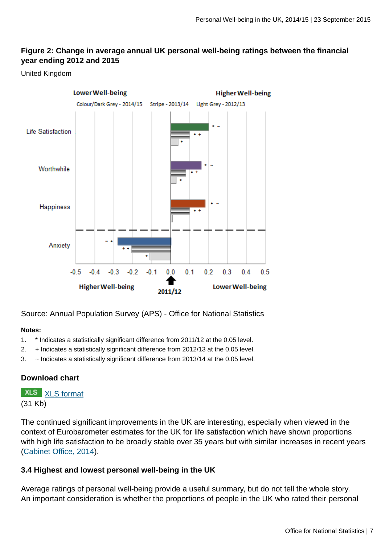## **Figure 2: Change in average annual UK personal well-being ratings between the financial year ending 2012 and 2015**

United Kingdom



Source: Annual Population Survey (APS) - Office for National Statistics

#### **Notes:**

- 1. \* Indicates a statistically significant difference from 2011/12 at the 0.05 level.
- 2. + Indicates a statistically significant difference from 2012/13 at the 0.05 level.
- 3. ~ Indicates a statistically significant difference from 2013/14 at the 0.05 level.

## **Download chart**

**XLS** [XLS format](http://www.ons.gov.uk:80/ons/rel/wellbeing/measuring-national-well-being/personal-well-being-in-the-uk--2014-15/chd-figure-2.xls) (31 Kb)

The continued significant improvements in the UK are interesting, especially when viewed in the context of Eurobarometer estimates for the UK for life satisfaction which have shown proportions with high life satisfaction to be broadly stable over 35 years but with similar increases in recent years [\(Cabinet Office, 2014](https://coanalysis.blog.gov.uk/2014/08/06/wellbeing-measuring-what-matters/)).

## **3.4 Highest and lowest personal well-being in the UK**

Average ratings of personal well-being provide a useful summary, but do not tell the whole story. An important consideration is whether the proportions of people in the UK who rated their personal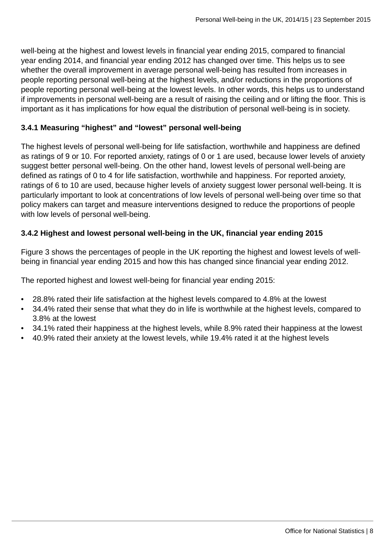well-being at the highest and lowest levels in financial year ending 2015, compared to financial year ending 2014, and financial year ending 2012 has changed over time. This helps us to see whether the overall improvement in average personal well-being has resulted from increases in people reporting personal well-being at the highest levels, and/or reductions in the proportions of people reporting personal well-being at the lowest levels. In other words, this helps us to understand if improvements in personal well-being are a result of raising the ceiling and or lifting the floor. This is important as it has implications for how equal the distribution of personal well-being is in society.

#### **3.4.1 Measuring "highest" and "lowest" personal well-being**

The highest levels of personal well-being for life satisfaction, worthwhile and happiness are defined as ratings of 9 or 10. For reported anxiety, ratings of 0 or 1 are used, because lower levels of anxiety suggest better personal well-being. On the other hand, lowest levels of personal well-being are defined as ratings of 0 to 4 for life satisfaction, worthwhile and happiness. For reported anxiety, ratings of 6 to 10 are used, because higher levels of anxiety suggest lower personal well-being. It is particularly important to look at concentrations of low levels of personal well-being over time so that policy makers can target and measure interventions designed to reduce the proportions of people with low levels of personal well-being.

## **3.4.2 Highest and lowest personal well-being in the UK, financial year ending 2015**

Figure 3 shows the percentages of people in the UK reporting the highest and lowest levels of wellbeing in financial year ending 2015 and how this has changed since financial year ending 2012.

The reported highest and lowest well-being for financial year ending 2015:

- 28.8% rated their life satisfaction at the highest levels compared to 4.8% at the lowest
- 34.4% rated their sense that what they do in life is worthwhile at the highest levels, compared to 3.8% at the lowest
- 34.1% rated their happiness at the highest levels, while 8.9% rated their happiness at the lowest
- 40.9% rated their anxiety at the lowest levels, while 19.4% rated it at the highest levels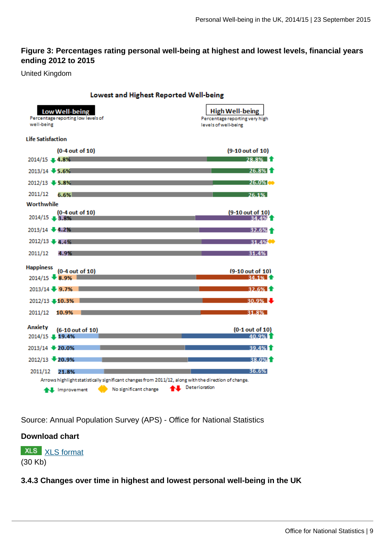## **Figure 3: Percentages rating personal well-being at highest and lowest levels, financial years ending 2012 to 2015**

United Kingdom

| Lowest and Highest Reported Well-being                                                               |                                                                                  |  |  |
|------------------------------------------------------------------------------------------------------|----------------------------------------------------------------------------------|--|--|
| Low Well-being<br>Percentage reporting low levels of<br>well-being                                   | <b>High Well-being</b><br>Percentage reporting very high<br>levels of well-being |  |  |
| <b>Life Satisfaction</b>                                                                             |                                                                                  |  |  |
| $(0-4$ out of $10)$                                                                                  | (9-10 out of 10)                                                                 |  |  |
| 2014/15 4.8%                                                                                         | 28.8% Fi                                                                         |  |  |
| $2013/14 - 5.6%$                                                                                     | $26.8%$ 1                                                                        |  |  |
| $2012/13 + 5.8\%$                                                                                    | $26.0\%$ $\Box$                                                                  |  |  |
| 2011/12<br>6.6%                                                                                      | 26.1%                                                                            |  |  |
| Worthwhile                                                                                           |                                                                                  |  |  |
| (0-4 out of 10)<br>2014/15 3.8%                                                                      | (9-10 out of 10)<br>34.4%                                                        |  |  |
| 2013/14 4.2%                                                                                         | 32.6%                                                                            |  |  |
| 2012/13 4.4%                                                                                         | $31.4\%$                                                                         |  |  |
| 2011/12<br>4.9%                                                                                      | 31.4%                                                                            |  |  |
| <b>Happiness</b><br>(0-4 out of 10)<br>2014/15 8.9%                                                  | $(9-10$ out of $10$<br>34.1%                                                     |  |  |
| $2013/14 - 9.7%$                                                                                     | $32.6%$ 1                                                                        |  |  |
| 2012/13 10.3%                                                                                        | 30.9%                                                                            |  |  |
| 10.9%<br>2011/12                                                                                     | 31.8%                                                                            |  |  |
| Anxiety<br>(6-10 out of 10)<br>2014/15 19.4%                                                         | (0-1 out of 10)<br>40.9% i                                                       |  |  |
| 2013/14 20.0%                                                                                        | 39.4%                                                                            |  |  |
| 2012/13 20.9%                                                                                        | 38.0%                                                                            |  |  |
| 2011/12<br>21.8%                                                                                     | 36.6%                                                                            |  |  |
| Arrows highlight statistically significant changes from 2011/12, along with the direction of change. |                                                                                  |  |  |
| No significant change<br><b>AL</b> Improvement                                                       | <b>AL</b> Deterioration                                                          |  |  |

Source: Annual Population Survey (APS) - Office for National Statistics

## **Download chart**

**XLS** [XLS format](http://www.ons.gov.uk:80/ons/rel/wellbeing/measuring-national-well-being/personal-well-being-in-the-uk--2014-15/chd-figure-3.xls) (30 Kb)

## **3.4.3 Changes over time in highest and lowest personal well-being in the UK**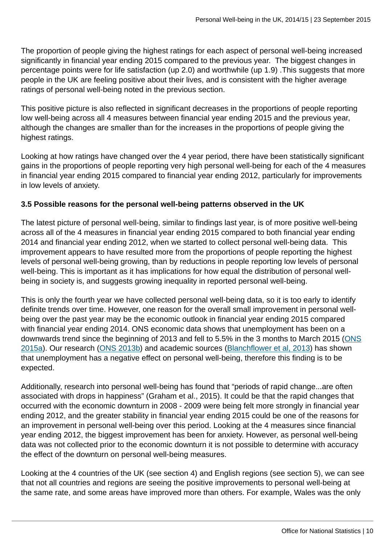The proportion of people giving the highest ratings for each aspect of personal well-being increased significantly in financial year ending 2015 compared to the previous year. The biggest changes in percentage points were for life satisfaction (up 2.0) and worthwhile (up 1.9) .This suggests that more people in the UK are feeling positive about their lives, and is consistent with the higher average ratings of personal well-being noted in the previous section.

This positive picture is also reflected in significant decreases in the proportions of people reporting low well-being across all 4 measures between financial year ending 2015 and the previous year, although the changes are smaller than for the increases in the proportions of people giving the highest ratings.

Looking at how ratings have changed over the 4 year period, there have been statistically significant gains in the proportions of people reporting very high personal well-being for each of the 4 measures in financial year ending 2015 compared to financial year ending 2012, particularly for improvements in low levels of anxiety.

#### **3.5 Possible reasons for the personal well-being patterns observed in the UK**

The latest picture of personal well-being, similar to findings last year, is of more positive well-being across all of the 4 measures in financial year ending 2015 compared to both financial year ending 2014 and financial year ending 2012, when we started to collect personal well-being data. This improvement appears to have resulted more from the proportions of people reporting the highest levels of personal well-being growing, than by reductions in people reporting low levels of personal well-being. This is important as it has implications for how equal the distribution of personal wellbeing in society is, and suggests growing inequality in reported personal well-being.

This is only the fourth year we have collected personal well-being data, so it is too early to identify definite trends over time. However, one reason for the overall small improvement in personal wellbeing over the past year may be the economic outlook in financial year ending 2015 compared with financial year ending 2014. ONS economic data shows that unemployment has been on a downwards trend since the beginning of 2013 and fell to 5.5% in the 3 months to March 2015 [\(ONS](http://www.ons.gov.uk:80/ons/rel/elmr/economic-review/august-2015/index.html) [2015a\)](http://www.ons.gov.uk:80/ons/rel/elmr/economic-review/august-2015/index.html). Our research ([ONS 2013b](http://www.ons.gov.uk:80/ons/rel/wellbeing/measuring-subjective-wellbeing-in-the-uk/first-annual-ons-experimental-subjective-well-being-results/index.html)) and academic sources [\(Blanchflower et al, 2013](http://www.bostonfed.org/employment2013/papers/Blanchflower_Session5.pdf)) has shown that unemployment has a negative effect on personal well-being, therefore this finding is to be expected.

Additionally, research into personal well-being has found that "periods of rapid change...are often associated with drops in happiness" (Graham et al., 2015). It could be that the rapid changes that occurred with the economic downturn in 2008 - 2009 were being felt more strongly in financial year ending 2012, and the greater stability in financial year ending 2015 could be one of the reasons for an improvement in personal well-being over this period. Looking at the 4 measures since financial year ending 2012, the biggest improvement has been for anxiety. However, as personal well-being data was not collected prior to the economic downturn it is not possible to determine with accuracy the effect of the downturn on personal well-being measures.

Looking at the 4 countries of the UK (see section 4) and English regions (see section 5), we can see that not all countries and regions are seeing the positive improvements to personal well-being at the same rate, and some areas have improved more than others. For example, Wales was the only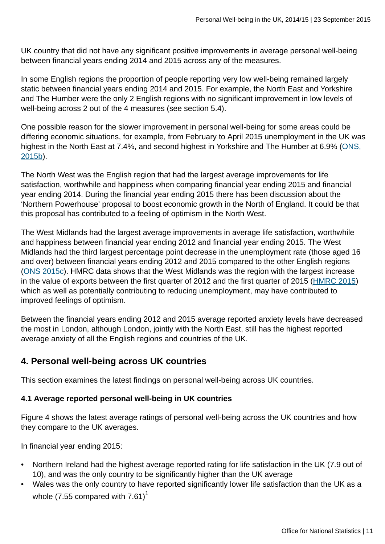UK country that did not have any significant positive improvements in average personal well-being between financial years ending 2014 and 2015 across any of the measures.

In some English regions the proportion of people reporting very low well-being remained largely static between financial years ending 2014 and 2015. For example, the North East and Yorkshire and The Humber were the only 2 English regions with no significant improvement in low levels of well-being across 2 out of the 4 measures (see section 5.4).

One possible reason for the slower improvement in personal well-being for some areas could be differing economic situations, for example, from February to April 2015 unemployment in the UK was highest in the North East at 7.4%, and second highest in Yorkshire and The Humber at 6.9% ([ONS,](http://www.ons.gov.uk:80/ons/rel/subnational-labour/regional-labour-market-statistics/june-2015/index.html) [2015b\)](http://www.ons.gov.uk:80/ons/rel/subnational-labour/regional-labour-market-statistics/june-2015/index.html).

The North West was the English region that had the largest average improvements for life satisfaction, worthwhile and happiness when comparing financial year ending 2015 and financial year ending 2014. During the financial year ending 2015 there has been discussion about the 'Northern Powerhouse' proposal to boost economic growth in the North of England. It could be that this proposal has contributed to a feeling of optimism in the North West.

The West Midlands had the largest average improvements in average life satisfaction, worthwhile and happiness between financial year ending 2012 and financial year ending 2015. The West Midlands had the third largest percentage point decrease in the unemployment rate (those aged 16 and over) between financial years ending 2012 and 2015 compared to the other English regions [\(ONS 2015c](http://www.ons.gov.uk:80/ons/rel/subnational-labour/regional-labour-market-statistics/july-2015/index.html)). HMRC data shows that the West Midlands was the region with the largest increase in the value of exports between the first quarter of 2012 and the first quarter of 2015 ([HMRC 2015\)](https://www.uktradeinfo.com/Statistics/RTS/Pages/default.aspx) which as well as potentially contributing to reducing unemployment, may have contributed to improved feelings of optimism.

Between the financial years ending 2012 and 2015 average reported anxiety levels have decreased the most in London, although London, jointly with the North East, still has the highest reported average anxiety of all the English regions and countries of the UK.

## **4. Personal well-being across UK countries**

This section examines the latest findings on personal well-being across UK countries.

## **4.1 Average reported personal well-being in UK countries**

Figure 4 shows the latest average ratings of personal well-being across the UK countries and how they compare to the UK averages.

In financial year ending 2015:

- Northern Ireland had the highest average reported rating for life satisfaction in the UK (7.9 out of 10), and was the only country to be significantly higher than the UK average
- Wales was the only country to have reported significantly lower life satisfaction than the UK as a whole (7.55 compared with  $7.61$ )<sup>1</sup>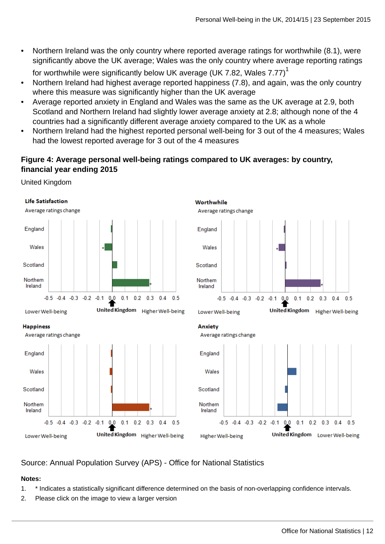• Northern Ireland was the only country where reported average ratings for worthwhile (8.1), were significantly above the UK average; Wales was the only country where average reporting ratings

for worthwhile were significantly below UK average (UK 7.82, Wales  $7.77$ )<sup>1</sup>

- Northern Ireland had highest average reported happiness (7.8), and again, was the only country where this measure was significantly higher than the UK average
- Average reported anxiety in England and Wales was the same as the UK average at 2.9, both Scotland and Northern Ireland had slightly lower average anxiety at 2.8; although none of the 4 countries had a significantly different average anxiety compared to the UK as a whole
- Northern Ireland had the highest reported personal well-being for 3 out of the 4 measures; Wales had the lowest reported average for 3 out of the 4 measures

## **Figure 4: Average personal well-being ratings compared to UK averages: by country, financial year ending 2015**



#### United Kingdom

Source: Annual Population Survey (APS) - Office for National Statistics

## **Notes:**

- 1. \* Indicates a statistically significant difference determined on the basis of non-overlapping confidence intervals.
- 2. Please click on the image to view a larger version

 $0.5$ 

 $0.5$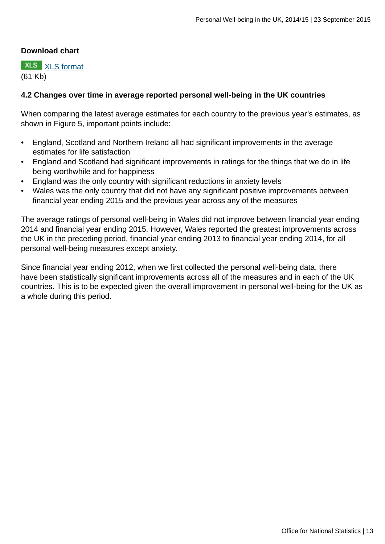#### **Download chart**

**XLS** [XLS format](http://www.ons.gov.uk:80/ons/rel/wellbeing/measuring-national-well-being/personal-well-being-in-the-uk--2014-15/chd-figure-4.xls) (61 Kb)

#### **4.2 Changes over time in average reported personal well-being in the UK countries**

When comparing the latest average estimates for each country to the previous year's estimates, as shown in Figure 5, important points include:

- England, Scotland and Northern Ireland all had significant improvements in the average estimates for life satisfaction
- England and Scotland had significant improvements in ratings for the things that we do in life being worthwhile and for happiness
- England was the only country with significant reductions in anxiety levels
- Wales was the only country that did not have any significant positive improvements between financial year ending 2015 and the previous year across any of the measures

The average ratings of personal well-being in Wales did not improve between financial year ending 2014 and financial year ending 2015. However, Wales reported the greatest improvements across the UK in the preceding period, financial year ending 2013 to financial year ending 2014, for all personal well-being measures except anxiety.

Since financial year ending 2012, when we first collected the personal well-being data, there have been statistically significant improvements across all of the measures and in each of the UK countries. This is to be expected given the overall improvement in personal well-being for the UK as a whole during this period.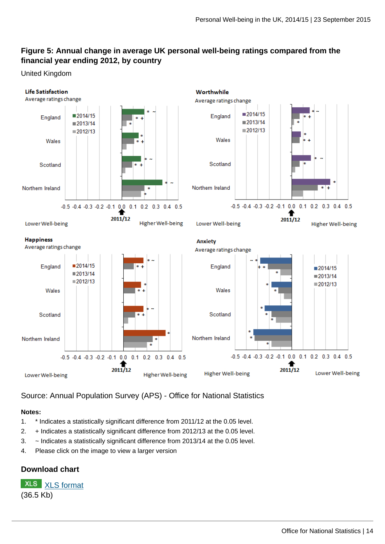## **Figure 5: Annual change in average UK personal well-being ratings compared from the financial year ending 2012, by country**

#### United Kingdom



## Source: Annual Population Survey (APS) - Office for National Statistics

#### **Notes:**

- 1. \* Indicates a statistically significant difference from 2011/12 at the 0.05 level.
- 2. + Indicates a statistically significant difference from 2012/13 at the 0.05 level.
- 3. ~ Indicates a statistically significant difference from 2013/14 at the 0.05 level.
- 4. Please click on the image to view a larger version

## **Download chart**

**XLS** [XLS format](http://www.ons.gov.uk:80/ons/rel/wellbeing/measuring-national-well-being/personal-well-being-in-the-uk--2014-15/chd-figure-5.xls) (36.5 Kb)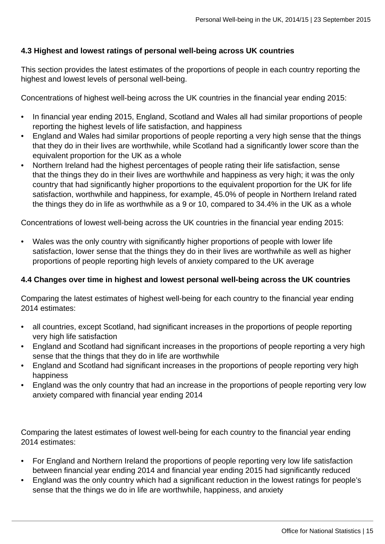#### **4.3 Highest and lowest ratings of personal well-being across UK countries**

This section provides the latest estimates of the proportions of people in each country reporting the highest and lowest levels of personal well-being.

Concentrations of highest well-being across the UK countries in the financial year ending 2015:

- In financial year ending 2015, England, Scotland and Wales all had similar proportions of people reporting the highest levels of life satisfaction, and happiness
- England and Wales had similar proportions of people reporting a very high sense that the things that they do in their lives are worthwhile, while Scotland had a significantly lower score than the equivalent proportion for the UK as a whole
- Northern Ireland had the highest percentages of people rating their life satisfaction, sense that the things they do in their lives are worthwhile and happiness as very high; it was the only country that had significantly higher proportions to the equivalent proportion for the UK for life satisfaction, worthwhile and happiness, for example, 45.0% of people in Northern Ireland rated the things they do in life as worthwhile as a 9 or 10, compared to 34.4% in the UK as a whole

Concentrations of lowest well-being across the UK countries in the financial year ending 2015:

• Wales was the only country with significantly higher proportions of people with lower life satisfaction, lower sense that the things they do in their lives are worthwhile as well as higher proportions of people reporting high levels of anxiety compared to the UK average

#### **4.4 Changes over time in highest and lowest personal well-being across the UK countries**

Comparing the latest estimates of highest well-being for each country to the financial year ending 2014 estimates:

- all countries, except Scotland, had significant increases in the proportions of people reporting very high life satisfaction
- England and Scotland had significant increases in the proportions of people reporting a very high sense that the things that they do in life are worthwhile
- England and Scotland had significant increases in the proportions of people reporting very high happiness
- England was the only country that had an increase in the proportions of people reporting very low anxiety compared with financial year ending 2014

Comparing the latest estimates of lowest well-being for each country to the financial year ending 2014 estimates:

- For England and Northern Ireland the proportions of people reporting very low life satisfaction between financial year ending 2014 and financial year ending 2015 had significantly reduced
- England was the only country which had a significant reduction in the lowest ratings for people's sense that the things we do in life are worthwhile, happiness, and anxiety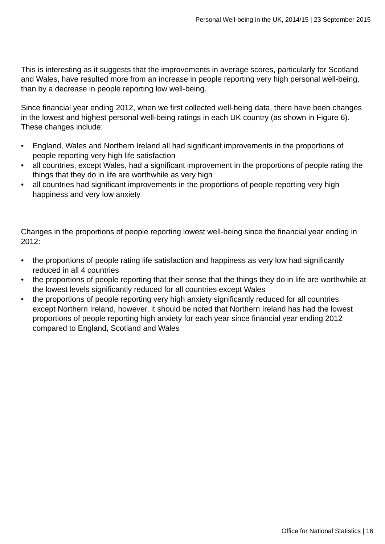This is interesting as it suggests that the improvements in average scores, particularly for Scotland and Wales, have resulted more from an increase in people reporting very high personal well-being, than by a decrease in people reporting low well-being.

Since financial year ending 2012, when we first collected well-being data, there have been changes in the lowest and highest personal well-being ratings in each UK country (as shown in Figure 6). These changes include:

- England, Wales and Northern Ireland all had significant improvements in the proportions of people reporting very high life satisfaction
- all countries, except Wales, had a significant improvement in the proportions of people rating the things that they do in life are worthwhile as very high
- all countries had significant improvements in the proportions of people reporting very high happiness and very low anxiety

Changes in the proportions of people reporting lowest well-being since the financial year ending in 2012:

- the proportions of people rating life satisfaction and happiness as very low had significantly reduced in all 4 countries
- the proportions of people reporting that their sense that the things they do in life are worthwhile at the lowest levels significantly reduced for all countries except Wales
- the proportions of people reporting very high anxiety significantly reduced for all countries except Northern Ireland, however, it should be noted that Northern Ireland has had the lowest proportions of people reporting high anxiety for each year since financial year ending 2012 compared to England, Scotland and Wales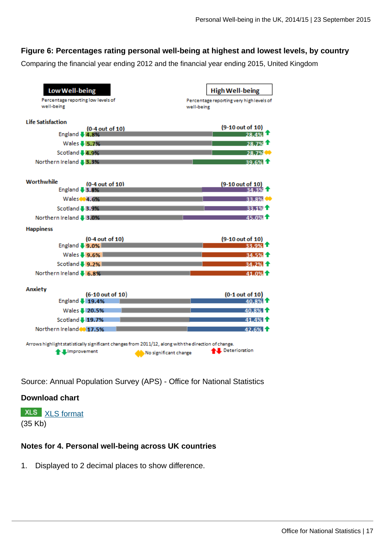#### **Figure 6: Percentages rating personal well-being at highest and lowest levels, by country**

Comparing the financial year ending 2012 and the financial year ending 2015, United Kingdom



Source: Annual Population Survey (APS) - Office for National Statistics

#### **Download chart**

**XLS** [XLS format](http://www.ons.gov.uk:80/ons/rel/wellbeing/measuring-national-well-being/personal-well-being-in-the-uk--2014-15/chd-figure-6.xls) (35 Kb)

#### **Notes for 4. Personal well-being across UK countries**

1. Displayed to 2 decimal places to show difference.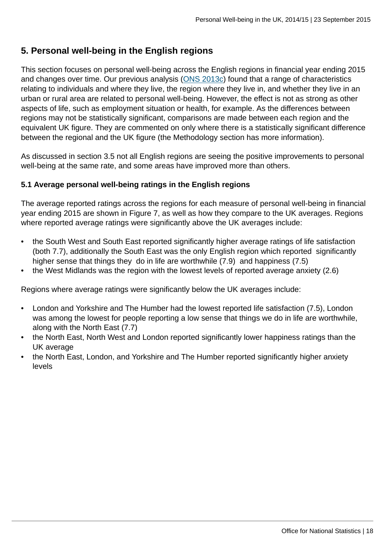# **5. Personal well-being in the English regions**

This section focuses on personal well-being across the English regions in financial year ending 2015 and changes over time. Our previous analysis [\(ONS 2013c](http://www.ons.gov.uk:80/ons/rel/wellbeing/measuring-national-well-being/personal-well-being-in-the-uk--2012-13/index.html)) found that a range of characteristics relating to individuals and where they live, the region where they live in, and whether they live in an urban or rural area are related to personal well-being. However, the effect is not as strong as other aspects of life, such as employment situation or health, for example. As the differences between regions may not be statistically significant, comparisons are made between each region and the equivalent UK figure. They are commented on only where there is a statistically significant difference between the regional and the UK figure (the Methodology section has more information).

As discussed in section 3.5 not all English regions are seeing the positive improvements to personal well-being at the same rate, and some areas have improved more than others.

## **5.1 Average personal well-being ratings in the English regions**

The average reported ratings across the regions for each measure of personal well-being in financial year ending 2015 are shown in Figure 7, as well as how they compare to the UK averages. Regions where reported average ratings were significantly above the UK averages include:

- the South West and South East reported significantly higher average ratings of life satisfaction (both 7.7), additionally the South East was the only English region which reported significantly higher sense that things they do in life are worthwhile (7.9) and happiness (7.5)
- the West Midlands was the region with the lowest levels of reported average anxiety (2.6)

Regions where average ratings were significantly below the UK averages include:

- London and Yorkshire and The Humber had the lowest reported life satisfaction (7.5), London was among the lowest for people reporting a low sense that things we do in life are worthwhile, along with the North East (7.7)
- the North East, North West and London reported significantly lower happiness ratings than the UK average
- the North East, London, and Yorkshire and The Humber reported significantly higher anxiety levels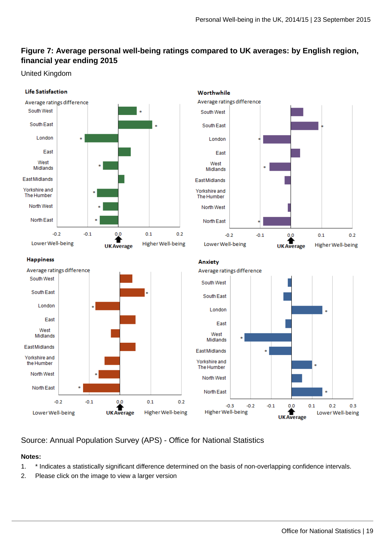## **Figure 7: Average personal well-being ratings compared to UK averages: by English region, financial year ending 2015**

#### United Kingdom



## Source: Annual Population Survey (APS) - Office for National Statistics

#### **Notes:**

- 1. \* Indicates a statistically significant difference determined on the basis of non-overlapping confidence intervals.
- 2. Please click on the image to view a larger version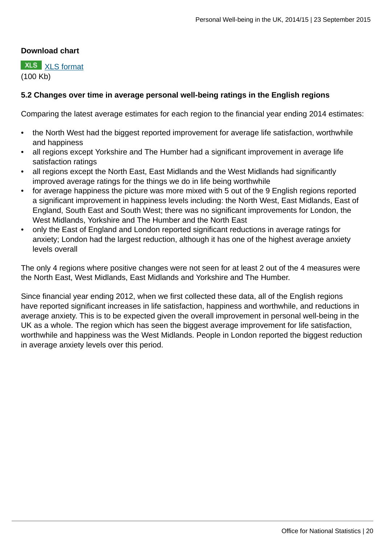#### **Download chart**

**XLS** [XLS format](http://www.ons.gov.uk:80/ons/rel/wellbeing/measuring-national-well-being/personal-well-being-in-the-uk--2014-15/chd-figure-7.xls) (100 Kb)

#### **5.2 Changes over time in average personal well-being ratings in the English regions**

Comparing the latest average estimates for each region to the financial year ending 2014 estimates:

- the North West had the biggest reported improvement for average life satisfaction, worthwhile and happiness
- all regions except Yorkshire and The Humber had a significant improvement in average life satisfaction ratings
- all regions except the North East, East Midlands and the West Midlands had significantly improved average ratings for the things we do in life being worthwhile
- for average happiness the picture was more mixed with 5 out of the 9 English regions reported a significant improvement in happiness levels including: the North West, East Midlands, East of England, South East and South West; there was no significant improvements for London, the West Midlands, Yorkshire and The Humber and the North East
- only the East of England and London reported significant reductions in average ratings for anxiety; London had the largest reduction, although it has one of the highest average anxiety levels overall

The only 4 regions where positive changes were not seen for at least 2 out of the 4 measures were the North East, West Midlands, East Midlands and Yorkshire and The Humber.

Since financial year ending 2012, when we first collected these data, all of the English regions have reported significant increases in life satisfaction, happiness and worthwhile, and reductions in average anxiety. This is to be expected given the overall improvement in personal well-being in the UK as a whole. The region which has seen the biggest average improvement for life satisfaction, worthwhile and happiness was the West Midlands. People in London reported the biggest reduction in average anxiety levels over this period.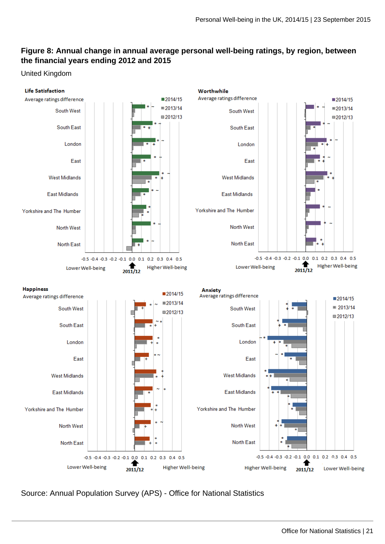## **Figure 8: Annual change in annual average personal well-being ratings, by region, between the financial years ending 2012 and 2015**

#### United Kingdom



Source: Annual Population Survey (APS) - Office for National Statistics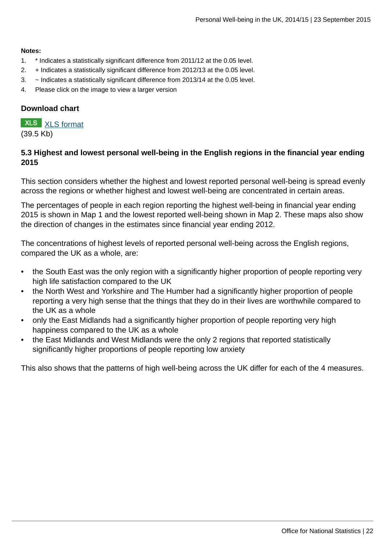#### **Notes:**

- 1. \* Indicates a statistically significant difference from 2011/12 at the 0.05 level.
- 2. + Indicates a statistically significant difference from 2012/13 at the 0.05 level.
- 3. ~ Indicates a statistically significant difference from 2013/14 at the 0.05 level.
- 4. Please click on the image to view a larger version

## **Download chart**

**XLS** [XLS format](http://www.ons.gov.uk:80/ons/rel/wellbeing/measuring-national-well-being/personal-well-being-in-the-uk--2014-15/chd-figure-8.xls) (39.5 Kb)

## **5.3 Highest and lowest personal well-being in the English regions in the financial year ending 2015**

This section considers whether the highest and lowest reported personal well-being is spread evenly across the regions or whether highest and lowest well-being are concentrated in certain areas.

The percentages of people in each region reporting the highest well-being in financial year ending 2015 is shown in Map 1 and the lowest reported well-being shown in Map 2. These maps also show the direction of changes in the estimates since financial year ending 2012.

The concentrations of highest levels of reported personal well-being across the English regions, compared the UK as a whole, are:

- the South East was the only region with a significantly higher proportion of people reporting very high life satisfaction compared to the UK
- the North West and Yorkshire and The Humber had a significantly higher proportion of people reporting a very high sense that the things that they do in their lives are worthwhile compared to the UK as a whole
- only the East Midlands had a significantly higher proportion of people reporting very high happiness compared to the UK as a whole
- the East Midlands and West Midlands were the only 2 regions that reported statistically significantly higher proportions of people reporting low anxiety

This also shows that the patterns of high well-being across the UK differ for each of the 4 measures.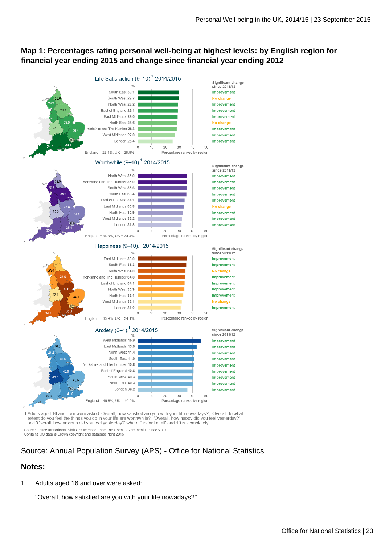## **Map 1: Percentages rating personal well-being at highest levels: by English region for financial year ending 2015 and change since financial year ending 2012**



Adults aged 16 and over were asked 'Overall, how satisfied are you with your life nowadays?', 'Overall, to what extent do you feel the things you do in your life are worthwhile?', 'Overall, how happy did you feel yesterday?'<br>and 'Overall, how anxious did you feel yesterday?' where 0 is 'not at all' and 10 is 'completely'. Source: Office for National Statistics licensed under the Open Government Licence v.3.0

Contains OS data © Crown copyright and database right 2015

#### Source: Annual Population Survey (APS) - Office for National Statistics

#### **Notes:**

1. Adults aged 16 and over were asked:

"Overall, how satisfied are you with your life nowadays?"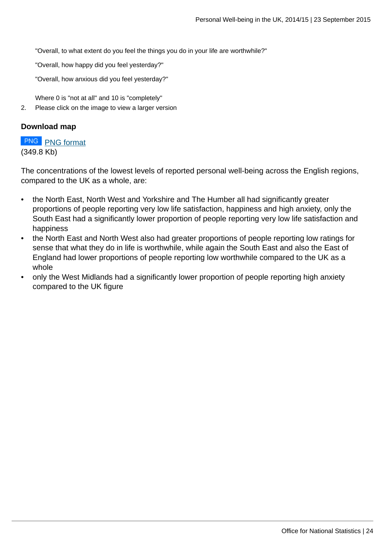"Overall, to what extent do you feel the things you do in your life are worthwhile?"

"Overall, how happy did you feel yesterday?"

"Overall, how anxious did you feel yesterday?"

Where 0 is "not at all" and 10 is "completely"

2. Please click on the image to view a larger version

#### **Download map**

**PNG** [PNG format](http://www.ons.gov.uk:80/ons/rel/wellbeing/measuring-national-well-being/personal-well-being-in-the-uk--2014-15/mdl-map-1.png) (349.8 Kb)

The concentrations of the lowest levels of reported personal well-being across the English regions, compared to the UK as a whole, are:

- the North East, North West and Yorkshire and The Humber all had significantly greater proportions of people reporting very low life satisfaction, happiness and high anxiety, only the South East had a significantly lower proportion of people reporting very low life satisfaction and happiness
- the North East and North West also had greater proportions of people reporting low ratings for sense that what they do in life is worthwhile, while again the South East and also the East of England had lower proportions of people reporting low worthwhile compared to the UK as a whole
- only the West Midlands had a significantly lower proportion of people reporting high anxiety compared to the UK figure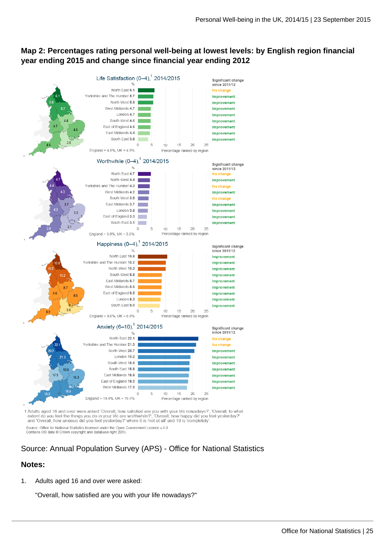## **Map 2: Percentages rating personal well-being at lowest levels: by English region financial year ending 2015 and change since financial year ending 2012**



1 Adults aged 16 and over were asked 'Overall, how satisfied are you with your life nowadays?', 'Overall, to what<br>extent do you feel the things you do in your life are worthwhile?', 'Overall, how happy did you feel yesterd and 'Overall, how anxious did you feel yesterday?' where 0 is 'not at all' and 10 is 'completely'

Source: Office for National Statistics licensed under the Open Government Licence v.3.0.<br>Contains OS data @ Crown copyright and database right 2015

## Source: Annual Population Survey (APS) - Office for National Statistics

#### **Notes:**

1. Adults aged 16 and over were asked:

"Overall, how satisfied are you with your life nowadays?"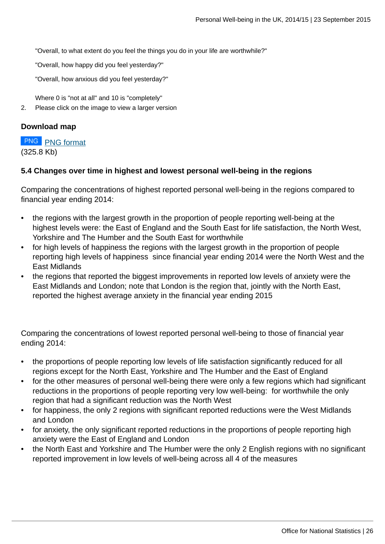"Overall, to what extent do you feel the things you do in your life are worthwhile?"

"Overall, how happy did you feel yesterday?"

"Overall, how anxious did you feel yesterday?"

Where 0 is "not at all" and 10 is "completely"

2. Please click on the image to view a larger version

#### **Download map**

**PNG** [PNG format](http://www.ons.gov.uk:80/ons/rel/wellbeing/measuring-national-well-being/personal-well-being-in-the-uk--2014-15/mdl-map-2.png) (325.8 Kb)

#### **5.4 Changes over time in highest and lowest personal well-being in the regions**

Comparing the concentrations of highest reported personal well-being in the regions compared to financial year ending 2014:

- the regions with the largest growth in the proportion of people reporting well-being at the highest levels were: the East of England and the South East for life satisfaction, the North West, Yorkshire and The Humber and the South East for worthwhile
- for high levels of happiness the regions with the largest growth in the proportion of people reporting high levels of happiness since financial year ending 2014 were the North West and the East Midlands
- the regions that reported the biggest improvements in reported low levels of anxiety were the East Midlands and London; note that London is the region that, jointly with the North East, reported the highest average anxiety in the financial year ending 2015

Comparing the concentrations of lowest reported personal well-being to those of financial year ending 2014:

- the proportions of people reporting low levels of life satisfaction significantly reduced for all regions except for the North East, Yorkshire and The Humber and the East of England
- for the other measures of personal well-being there were only a few regions which had significant reductions in the proportions of people reporting very low well-being: for worthwhile the only region that had a significant reduction was the North West
- for happiness, the only 2 regions with significant reported reductions were the West Midlands and London
- for anxiety, the only significant reported reductions in the proportions of people reporting high anxiety were the East of England and London
- the North East and Yorkshire and The Humber were the only 2 English regions with no significant reported improvement in low levels of well-being across all 4 of the measures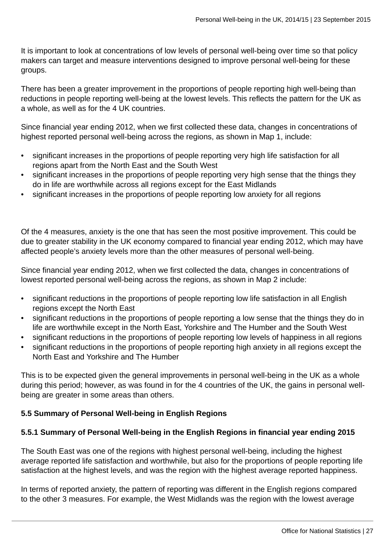It is important to look at concentrations of low levels of personal well-being over time so that policy makers can target and measure interventions designed to improve personal well-being for these groups.

There has been a greater improvement in the proportions of people reporting high well-being than reductions in people reporting well-being at the lowest levels. This reflects the pattern for the UK as a whole, as well as for the 4 UK countries.

Since financial year ending 2012, when we first collected these data, changes in concentrations of highest reported personal well-being across the regions, as shown in Map 1, include:

- significant increases in the proportions of people reporting very high life satisfaction for all regions apart from the North East and the South West
- significant increases in the proportions of people reporting very high sense that the things they do in life are worthwhile across all regions except for the East Midlands
- significant increases in the proportions of people reporting low anxiety for all regions

Of the 4 measures, anxiety is the one that has seen the most positive improvement. This could be due to greater stability in the UK economy compared to financial year ending 2012, which may have affected people's anxiety levels more than the other measures of personal well-being.

Since financial year ending 2012, when we first collected the data, changes in concentrations of lowest reported personal well-being across the regions, as shown in Map 2 include:

- significant reductions in the proportions of people reporting low life satisfaction in all English regions except the North East
- significant reductions in the proportions of people reporting a low sense that the things they do in life are worthwhile except in the North East, Yorkshire and The Humber and the South West
- significant reductions in the proportions of people reporting low levels of happiness in all regions
- significant reductions in the proportions of people reporting high anxiety in all regions except the North East and Yorkshire and The Humber

This is to be expected given the general improvements in personal well-being in the UK as a whole during this period; however, as was found in for the 4 countries of the UK, the gains in personal wellbeing are greater in some areas than others.

## **5.5 Summary of Personal Well-being in English Regions**

## **5.5.1 Summary of Personal Well-being in the English Regions in financial year ending 2015**

The South East was one of the regions with highest personal well-being, including the highest average reported life satisfaction and worthwhile, but also for the proportions of people reporting life satisfaction at the highest levels, and was the region with the highest average reported happiness.

In terms of reported anxiety, the pattern of reporting was different in the English regions compared to the other 3 measures. For example, the West Midlands was the region with the lowest average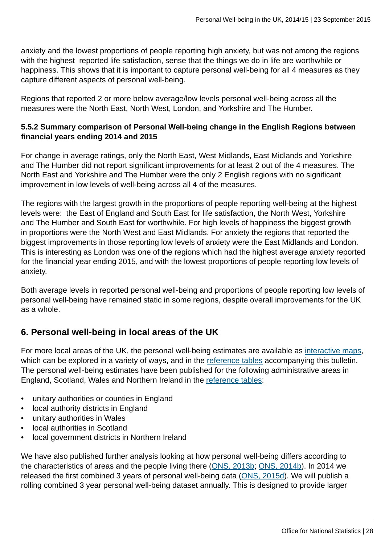anxiety and the lowest proportions of people reporting high anxiety, but was not among the regions with the highest reported life satisfaction, sense that the things we do in life are worthwhile or happiness. This shows that it is important to capture personal well-being for all 4 measures as they capture different aspects of personal well-being.

Regions that reported 2 or more below average/low levels personal well-being across all the measures were the North East, North West, London, and Yorkshire and The Humber.

## **5.5.2 Summary comparison of Personal Well-being change in the English Regions between financial years ending 2014 and 2015**

For change in average ratings, only the North East, West Midlands, East Midlands and Yorkshire and The Humber did not report significant improvements for at least 2 out of the 4 measures. The North East and Yorkshire and The Humber were the only 2 English regions with no significant improvement in low levels of well-being across all 4 of the measures.

The regions with the largest growth in the proportions of people reporting well-being at the highest levels were: the East of England and South East for life satisfaction, the North West, Yorkshire and The Humber and South East for worthwhile. For high levels of happiness the biggest growth in proportions were the North West and East Midlands. For anxiety the regions that reported the biggest improvements in those reporting low levels of anxiety were the East Midlands and London. This is interesting as London was one of the regions which had the highest average anxiety reported for the financial year ending 2015, and with the lowest proportions of people reporting low levels of anxiety.

Both average levels in reported personal well-being and proportions of people reporting low levels of personal well-being have remained static in some regions, despite overall improvements for the UK as a whole.

# **6. Personal well-being in local areas of the UK**

For more local areas of the UK, the personal well-being estimates are available as [interactive maps](http://www.ons.gov.uk:80/ons/external-links/about-statistics/wellbeing/personal-well-being-across-the-uk-interactive-map.html), which can be explored in a variety of ways, and in the [reference tables](http://www.ons.gov.uk/ons/publications/re-reference-tables.html?edition=tcm%3A77-407641) accompanying this bulletin. The personal well-being estimates have been published for the following administrative areas in England, Scotland, Wales and Northern Ireland in the [reference tables:](http://www.ons.gov.uk/ons/publications/re-reference-tables.html?edition=tcm%3A77-407641)

- unitary authorities or counties in England
- local authority districts in England
- unitary authorities in Wales
- local authorities in Scotland
- local government districts in Northern Ireland

We have also published further analysis looking at how personal well-being differs according to the characteristics of areas and the people living there [\(ONS, 2013b](http://www.ons.gov.uk:80/ons/rel/wellbeing/measuring-subjective-wellbeing-in-the-uk/first-annual-ons-experimental-subjective-well-being-results/index.html); [ONS, 2014b\)](http://www.ons.gov.uk:80/ons/rel/regional-trends/regional-economic-analysis/exploring-personal-well-being-and-place-in-the-uk/art-exploring-personal-well-being-and-place.html). In 2014 we released the first combined 3 years of personal well-being data [\(ONS, 2015d](http://www.ons.gov.uk:80/ons/rel/wellbeing/measuring-national-well-being/personal-well-being-in-the-uk--three-year-data-2011-2014/index.html)). We will publish a rolling combined 3 year personal well-being dataset annually. This is designed to provide larger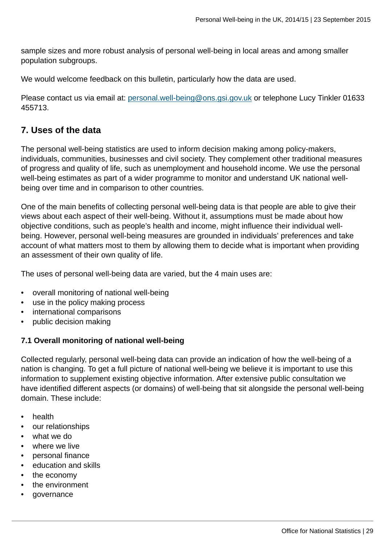sample sizes and more robust analysis of personal well-being in local areas and among smaller population subgroups.

We would welcome feedback on this bulletin, particularly how the data are used.

Please contact us via email at: [personal.well-being@ons.gsi.gov.uk](mailto:personal.well-being@ons.gsi.gov.uk) or telephone Lucy Tinkler 01633 455713.

# **7. Uses of the data**

The personal well-being statistics are used to inform decision making among policy-makers, individuals, communities, businesses and civil society. They complement other traditional measures of progress and quality of life, such as unemployment and household income. We use the personal well-being estimates as part of a wider programme to monitor and understand UK national wellbeing over time and in comparison to other countries.

One of the main benefits of collecting personal well-being data is that people are able to give their views about each aspect of their well-being. Without it, assumptions must be made about how objective conditions, such as people's health and income, might influence their individual wellbeing. However, personal well-being measures are grounded in individuals' preferences and take account of what matters most to them by allowing them to decide what is important when providing an assessment of their own quality of life.

The uses of personal well-being data are varied, but the 4 main uses are:

- overall monitoring of national well-being
- use in the policy making process
- international comparisons
- public decision making

## **7.1 Overall monitoring of national well-being**

Collected regularly, personal well-being data can provide an indication of how the well-being of a nation is changing. To get a full picture of national well-being we believe it is important to use this information to supplement existing objective information. After extensive public consultation we have identified different aspects (or domains) of well-being that sit alongside the personal well-being domain. These include:

- health
- our relationships
- what we do
- where we live
- personal finance
- education and skills
- the economy
- the environment
- governance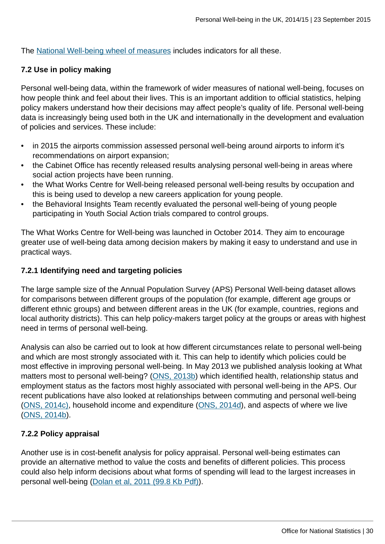The [National Well-being wheel of measures](http://www.neighbourhood.statistics.gov.uk/HTMLDocs/dvc146/wrapper.html) includes indicators for all these.

#### **7.2 Use in policy making**

Personal well-being data, within the framework of wider measures of national well-being, focuses on how people think and feel about their lives. This is an important addition to official statistics, helping policy makers understand how their decisions may affect people's quality of life. Personal well-being data is increasingly being used both in the UK and internationally in the development and evaluation of policies and services. These include:

- in 2015 the airports commission assessed personal well-being around airports to inform it's recommendations on airport expansion;
- the Cabinet Office has recently released results analysing personal well-being in areas where social action projects have been running.
- the What Works Centre for Well-being released personal well-being results by occupation and this is being used to develop a new careers application for young people.
- the Behavioral Insights Team recently evaluated the personal well-being of young people participating in Youth Social Action trials compared to control groups.

The What Works Centre for Well-being was launched in October 2014. They aim to encourage greater use of well-being data among decision makers by making it easy to understand and use in practical ways.

#### **7.2.1 Identifying need and targeting policies**

The large sample size of the Annual Population Survey (APS) Personal Well-being dataset allows for comparisons between different groups of the population (for example, different age groups or different ethnic groups) and between different areas in the UK (for example, countries, regions and local authority districts). This can help policy-makers target policy at the groups or areas with highest need in terms of personal well-being.

Analysis can also be carried out to look at how different circumstances relate to personal well-being and which are most strongly associated with it. This can help to identify which policies could be most effective in improving personal well-being. In May 2013 we published analysis looking at What matters most to personal well-being? ([ONS, 2013b\)](http://www.ons.gov.uk:80/ons/rel/wellbeing/measuring-subjective-wellbeing-in-the-uk/first-annual-ons-experimental-subjective-well-being-results/index.html) which identified health, relationship status and employment status as the factors most highly associated with personal well-being in the APS. Our recent publications have also looked at relationships between commuting and personal well-being [\(ONS, 2014c\),](http://www.ons.gov.uk:80/ons/rel/wellbeing/measuring-national-well-being/commuting-and-personal-well-being--2014/index.html) household income and expenditure [\(ONS, 2014d](http://www.ons.gov.uk:80/ons/rel/wellbeing/measuring-national-well-being/income--expenditure-and-personal-well-being/art--income--expenditure-and-personal-well-being.html)), and aspects of where we live [\(ONS, 2014b](http://www.ons.gov.uk:80/ons/rel/regional-trends/regional-economic-analysis/exploring-personal-well-being-and-place-in-the-uk/art-exploring-personal-well-being-and-place.html)).

#### **7.2.2 Policy appraisal**

Another use is in cost-benefit analysis for policy appraisal. Personal well-being estimates can provide an alternative method to value the costs and benefits of different policies. This process could also help inform decisions about what forms of spending will lead to the largest increases in personal well-being [\(Dolan et al, 2011 \(99.8 Kb Pdf\)\)](http://www.ons.gov.uk:80/ons/guide-method/user-guidance/well-being/publications/measuring-subjective-well-being-for-public-policy.pdf).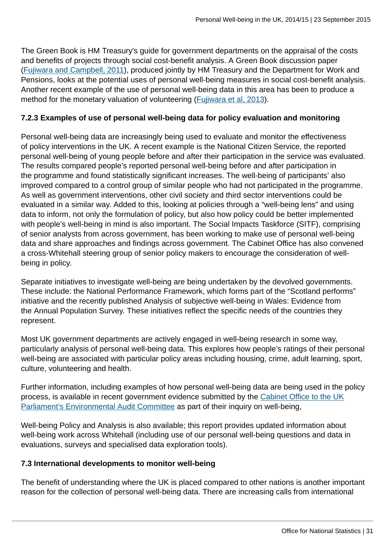The Green Book is HM Treasury's guide for government departments on the appraisal of the costs and benefits of projects through social cost-benefit analysis. A Green Book discussion paper [\(Fujiwara and Campbell, 2011\)](https://www.gov.uk/government/publications/valuation-techniques-for-social-cost-benefit-analysis), produced jointly by HM Treasury and the Department for Work and Pensions, looks at the potential uses of personal well-being measures in social cost-benefit analysis. Another recent example of the use of personal well-being data in this area has been to produce a method for the monetary valuation of volunteering ([Fujiwara et al, 2013](https://www.gov.uk/government/publications/wellbeing-and-civil-society-estimating-the-value-of-volunteering-using-subjective-wellbeing-data-wp112)).

## **7.2.3 Examples of use of personal well-being data for policy evaluation and monitoring**

Personal well-being data are increasingly being used to evaluate and monitor the effectiveness of policy interventions in the UK. A recent example is the National Citizen Service, the reported personal well-being of young people before and after their participation in the service was evaluated. The results compared people's reported personal well-being before and after participation in the programme and found statistically significant increases. The well-being of participants' also improved compared to a control group of similar people who had not participated in the programme. As well as government interventions, other civil society and third sector interventions could be evaluated in a similar way. Added to this, looking at policies through a "well-being lens" and using data to inform, not only the formulation of policy, but also how policy could be better implemented with people's well-being in mind is also important. The Social Impacts Taskforce (SITF), comprising of senior analysts from across government, has been working to make use of personal well-being data and share approaches and findings across government. The Cabinet Office has also convened a cross-Whitehall steering group of senior policy makers to encourage the consideration of wellbeing in policy.

Separate initiatives to investigate well-being are being undertaken by the devolved governments. These include: the National Performance Framework, which forms part of the "Scotland performs" initiative and the recently published Analysis of subjective well-being in Wales: Evidence from the Annual Population Survey. These initiatives reflect the specific needs of the countries they represent.

Most UK government departments are actively engaged in well-being research in some way, particularly analysis of personal well-being data. This explores how people's ratings of their personal well-being are associated with particular policy areas including housing, crime, adult learning, sport, culture, volunteering and health.

Further information, including examples of how personal well-being data are being used in the policy process, is available in recent government evidence submitted by the [Cabinet Office to the UK](http://wasppreview/ons/rel/wellbeing/measuring-national-well-being/personal-well-being-in-the-uk--2014-15/index.html) [Parliament's Environmental Audit Committee](http://wasppreview/ons/rel/wellbeing/measuring-national-well-being/personal-well-being-in-the-uk--2014-15/index.html) as part of their inquiry on well-being,

Well-being Policy and Analysis is also available; this report provides updated information about well-being work across Whitehall (including use of our personal well-being questions and data in evaluations, surveys and specialised data exploration tools).

## **7.3 International developments to monitor well-being**

The benefit of understanding where the UK is placed compared to other nations is another important reason for the collection of personal well-being data. There are increasing calls from international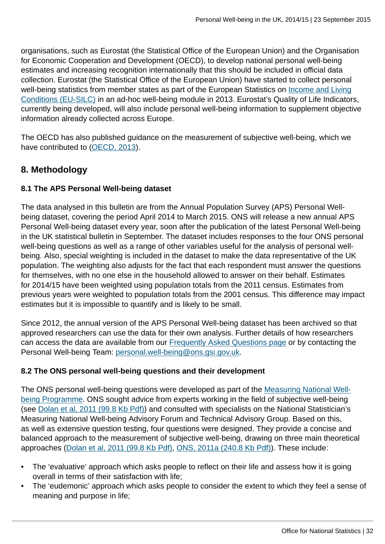organisations, such as Eurostat (the Statistical Office of the European Union) and the Organisation for Economic Cooperation and Development (OECD), to develop national personal well-being estimates and increasing recognition internationally that this should be included in official data collection. Eurostat (the Statistical Office of the European Union) have started to collect personal well-being statistics from member states as part of the European Statistics on [Income and Living](http://www.ons.gov.uk:80/ons/external-links/other-government-departments/eurostat/eu-statistics-on-income---living-conditions.html) [Conditions \(EU-SILC\)](http://www.ons.gov.uk:80/ons/external-links/other-government-departments/eurostat/eu-statistics-on-income---living-conditions.html) in an ad-hoc well-being module in 2013. Eurostat's Quality of Life Indicators, currently being developed, will also include personal well-being information to supplement objective information already collected across Europe.

The OECD has also published guidance on the measurement of subjective well-being, which we have contributed to ([OECD, 2013\)](http://www.oecd-ilibrary.org/economics/oecd-guidelines-on-measuring-subjective-well-being_9789264191655-en).

# **8. Methodology**

## **8.1 The APS Personal Well-being dataset**

The data analysed in this bulletin are from the Annual Population Survey (APS) Personal Wellbeing dataset, covering the period April 2014 to March 2015. ONS will release a new annual APS Personal Well-being dataset every year, soon after the publication of the latest Personal Well-being in the UK statistical bulletin in September. The dataset includes responses to the four ONS personal well-being questions as well as a range of other variables useful for the analysis of personal wellbeing. Also, special weighting is included in the dataset to make the data representative of the UK population. The weighting also adjusts for the fact that each respondent must answer the questions for themselves, with no one else in the household allowed to answer on their behalf. Estimates for 2014/15 have been weighted using population totals from the 2011 census. Estimates from previous years were weighted to population totals from the 2001 census. This difference may impact estimates but it is impossible to quantify and is likely to be small.

Since 2012, the annual version of the APS Personal Well-being dataset has been archived so that approved researchers can use the data for their own analysis. Further details of how researchers can access the data are available from our [Frequently Asked Questions page](http://www.ons.gov.uk:80/ons/guide-method/method-quality/specific/social-and-welfare-methodology/subjective-wellbeing-survey-user-guide/subjective-well-being-frequently-asked-questions--faq-s-.html) or by contacting the Personal Well-being Team: [personal.well-being@ons.gsi.gov.uk](mailto:personal.well-being@ons.gsi.gov.uk).

## **8.2 The ONS personal well-being questions and their development**

The ONS personal well-being questions were developed as part of the [Measuring National Well](http://www.ons.gov.uk:80/ons/guide-method/user-guidance/well-being/index.html)[being Programme.](http://www.ons.gov.uk:80/ons/guide-method/user-guidance/well-being/index.html) ONS sought advice from experts working in the field of subjective well-being (see [Dolan et al, 2011 \(99.8 Kb Pdf\)\)](http://www.ons.gov.uk:80/ons/guide-method/user-guidance/well-being/publications/measuring-subjective-well-being-for-public-policy.pdf) and consulted with specialists on the National Statistician's Measuring National Well-being Advisory Forum and Technical Advisory Group. Based on this, as well as extensive question testing, four questions were designed. They provide a concise and balanced approach to the measurement of subjective well-being, drawing on three main theoretical approaches [\(Dolan et al, 2011 \(99.8 Kb Pdf\)](http://www.ons.gov.uk:80/ons/guide-method/user-guidance/well-being/publications/measuring-subjective-well-being-for-public-policy.pdf), [ONS, 2011a \(240.8 Kb Pdf\)\)](http://www.ons.gov.uk:80/ons/guide-method/user-guidance/well-being/wellbeing-knowledge-bank/understanding-wellbeing/measuring-subjective-well-being.pdf). These include:

- The 'evaluative' approach which asks people to reflect on their life and assess how it is going overall in terms of their satisfaction with life;
- The 'eudemonic' approach which asks people to consider the extent to which they feel a sense of meaning and purpose in life;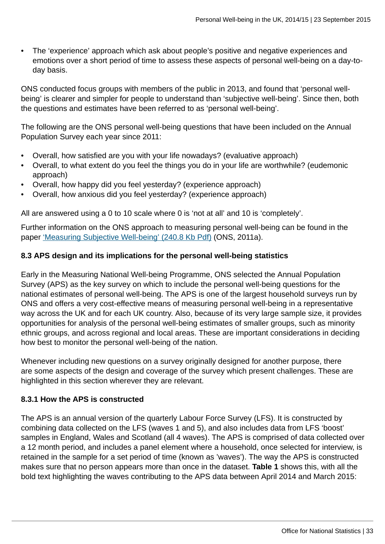• The 'experience' approach which ask about people's positive and negative experiences and emotions over a short period of time to assess these aspects of personal well-being on a day-today basis.

ONS conducted focus groups with members of the public in 2013, and found that 'personal wellbeing' is clearer and simpler for people to understand than 'subjective well-being'. Since then, both the questions and estimates have been referred to as 'personal well-being'.

The following are the ONS personal well-being questions that have been included on the Annual Population Survey each year since 2011:

- Overall, how satisfied are you with your life nowadays? (evaluative approach)
- Overall, to what extent do you feel the things you do in your life are worthwhile? (eudemonic approach)
- Overall, how happy did you feel yesterday? (experience approach)
- Overall, how anxious did you feel yesterday? (experience approach)

All are answered using a 0 to 10 scale where 0 is 'not at all' and 10 is 'completely'.

Further information on the ONS approach to measuring personal well-being can be found in the paper ['Measuring Subjective Well-being' \(240.8 Kb Pdf\)](http://www.ons.gov.uk:80/ons/guide-method/user-guidance/well-being/wellbeing-knowledge-bank/understanding-wellbeing/measuring-subjective-well-being.pdf) (ONS, 2011a).

#### **8.3 APS design and its implications for the personal well-being statistics**

Early in the Measuring National Well-being Programme, ONS selected the Annual Population Survey (APS) as the key survey on which to include the personal well-being questions for the national estimates of personal well-being. The APS is one of the largest household surveys run by ONS and offers a very cost-effective means of measuring personal well-being in a representative way across the UK and for each UK country. Also, because of its very large sample size, it provides opportunities for analysis of the personal well-being estimates of smaller groups, such as minority ethnic groups, and across regional and local areas. These are important considerations in deciding how best to monitor the personal well-being of the nation.

Whenever including new questions on a survey originally designed for another purpose, there are some aspects of the design and coverage of the survey which present challenges. These are highlighted in this section wherever they are relevant.

#### **8.3.1 How the APS is constructed**

The APS is an annual version of the quarterly Labour Force Survey (LFS). It is constructed by combining data collected on the LFS (waves 1 and 5), and also includes data from LFS 'boost' samples in England, Wales and Scotland (all 4 waves). The APS is comprised of data collected over a 12 month period, and includes a panel element where a household, once selected for interview, is retained in the sample for a set period of time (known as 'waves'). The way the APS is constructed makes sure that no person appears more than once in the dataset. **Table 1** shows this, with all the bold text highlighting the waves contributing to the APS data between April 2014 and March 2015: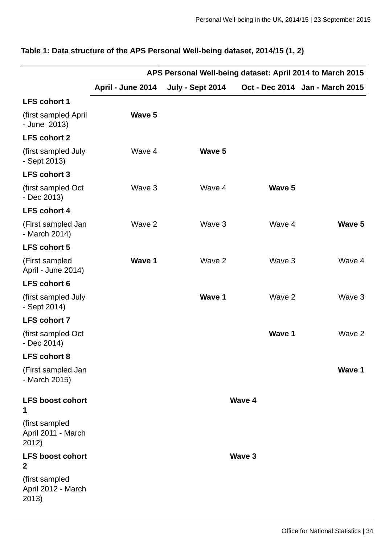|                                               | APS Personal Well-being dataset: April 2014 to March 2015 |                         |               |                                 |
|-----------------------------------------------|-----------------------------------------------------------|-------------------------|---------------|---------------------------------|
|                                               | April - June 2014                                         | <b>July - Sept 2014</b> |               | Oct - Dec 2014 Jan - March 2015 |
| <b>LFS cohort 1</b>                           |                                                           |                         |               |                                 |
| (first sampled April<br>- June 2013)          | <b>Wave 5</b>                                             |                         |               |                                 |
| <b>LFS cohort 2</b>                           |                                                           |                         |               |                                 |
| (first sampled July<br>- Sept 2013)           | Wave 4                                                    | Wave 5                  |               |                                 |
| <b>LFS cohort 3</b>                           |                                                           |                         |               |                                 |
| (first sampled Oct<br>- Dec 2013)             | Wave 3                                                    | Wave 4                  | Wave 5        |                                 |
| <b>LFS cohort 4</b>                           |                                                           |                         |               |                                 |
| (First sampled Jan<br>- March 2014)           | Wave 2                                                    | Wave 3                  | Wave 4        | Wave 5                          |
| <b>LFS cohort 5</b>                           |                                                           |                         |               |                                 |
| (First sampled<br>April - June 2014)          | Wave 1                                                    | Wave 2                  | Wave 3        | Wave 4                          |
| <b>LFS cohort 6</b>                           |                                                           |                         |               |                                 |
| (first sampled July<br>- Sept 2014)           |                                                           | Wave 1                  | Wave 2        | Wave 3                          |
| <b>LFS cohort 7</b>                           |                                                           |                         |               |                                 |
| (first sampled Oct<br>$-$ Dec 2014)           |                                                           |                         | Wave 1        | Wave 2                          |
| <b>LFS cohort 8</b>                           |                                                           |                         |               |                                 |
| (First sampled Jan<br>- March 2015)           |                                                           |                         |               | Wave 1                          |
| <b>LFS boost cohort</b><br>1                  |                                                           |                         | <b>Wave 4</b> |                                 |
| (first sampled<br>April 2011 - March<br>2012) |                                                           |                         |               |                                 |
| <b>LFS boost cohort</b><br>$\overline{2}$     |                                                           |                         | Wave 3        |                                 |
| (first sampled<br>April 2012 - March<br>2013) |                                                           |                         |               |                                 |

# **Table 1: Data structure of the APS Personal Well-being dataset, 2014/15 (1, 2)**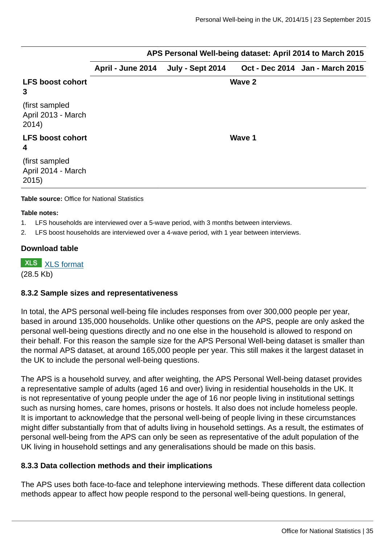|                                               | APS Personal Well-being dataset: April 2014 to March 2015 |                         |               |                                 |
|-----------------------------------------------|-----------------------------------------------------------|-------------------------|---------------|---------------------------------|
|                                               | April - June 2014                                         | <b>July - Sept 2014</b> |               | Oct - Dec 2014 Jan - March 2015 |
| <b>LFS boost cohort</b><br>3                  |                                                           |                         | <b>Wave 2</b> |                                 |
| (first sampled<br>April 2013 - March<br>2014) |                                                           |                         |               |                                 |
| <b>LFS boost cohort</b><br>4                  |                                                           |                         | Wave 1        |                                 |
| (first sampled<br>April 2014 - March<br>2015) |                                                           |                         |               |                                 |

#### **Table source:** Office for National Statistics

#### **Table notes:**

- 1. LFS households are interviewed over a 5-wave period, with 3 months between interviews.
- 2. LFS boost households are interviewed over a 4-wave period, with 1 year between interviews.

#### **Download table**

**XLS** [XLS format](http://www.ons.gov.uk:80/ons/rel/wellbeing/measuring-national-well-being/personal-well-being-in-the-uk--2014-15/prt-table-1.xls)

(28.5 Kb)

#### **8.3.2 Sample sizes and representativeness**

In total, the APS personal well-being file includes responses from over 300,000 people per year, based in around 135,000 households. Unlike other questions on the APS, people are only asked the personal well-being questions directly and no one else in the household is allowed to respond on their behalf. For this reason the sample size for the APS Personal Well-being dataset is smaller than the normal APS dataset, at around 165,000 people per year. This still makes it the largest dataset in the UK to include the personal well-being questions.

The APS is a household survey, and after weighting, the APS Personal Well-being dataset provides a representative sample of adults (aged 16 and over) living in residential households in the UK. It is not representative of young people under the age of 16 nor people living in institutional settings such as nursing homes, care homes, prisons or hostels. It also does not include homeless people. It is important to acknowledge that the personal well-being of people living in these circumstances might differ substantially from that of adults living in household settings. As a result, the estimates of personal well-being from the APS can only be seen as representative of the adult population of the UK living in household settings and any generalisations should be made on this basis.

#### **8.3.3 Data collection methods and their implications**

The APS uses both face-to-face and telephone interviewing methods. These different data collection methods appear to affect how people respond to the personal well-being questions. In general,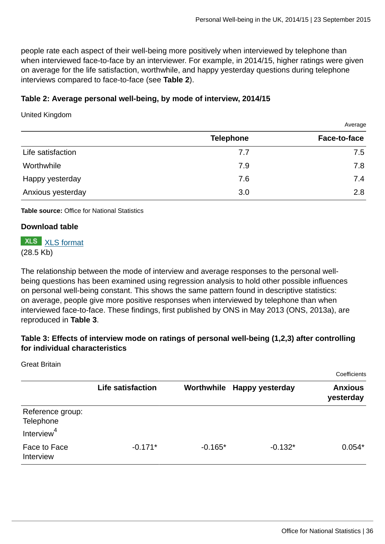people rate each aspect of their well-being more positively when interviewed by telephone than when interviewed face-to-face by an interviewer. For example, in 2014/15, higher ratings were given on average for the life satisfaction, worthwhile, and happy yesterday questions during telephone interviews compared to face-to-face (see **Table 2**).

#### **Table 2: Average personal well-being, by mode of interview, 2014/15**

#### United Kingdom

|                   |                  | Average      |
|-------------------|------------------|--------------|
|                   | <b>Telephone</b> | Face-to-face |
| Life satisfaction | 7.7              | 7.5          |
| Worthwhile        | 7.9              | 7.8          |
| Happy yesterday   | 7.6              | 7.4          |
| Anxious yesterday | 3.0              | 2.8          |

**Table source:** Office for National Statistics

#### **Download table**

#### **XLS** [XLS format](http://www.ons.gov.uk:80/ons/rel/wellbeing/measuring-national-well-being/personal-well-being-in-the-uk--2014-15/prt-table-2.xls) (28.5 Kb)

Great Britain

The relationship between the mode of interview and average responses to the personal wellbeing questions has been examined using regression analysis to hold other possible influences on personal well-being constant. This shows the same pattern found in descriptive statistics: on average, people give more positive responses when interviewed by telephone than when interviewed face-to-face. These findings, first published by ONS in May 2013 (ONS, 2013a), are reproduced in **Table 3**.

## **Table 3: Effects of interview mode on ratings of personal well-being (1,2,3) after controlling for individual characteristics**

| Gleat Dhialli                                           |                   |           |                            | Coefficients                |
|---------------------------------------------------------|-------------------|-----------|----------------------------|-----------------------------|
|                                                         | Life satisfaction |           | Worthwhile Happy yesterday | <b>Anxious</b><br>yesterday |
| Reference group:<br>Telephone<br>Interview <sup>4</sup> |                   |           |                            |                             |
| Face to Face<br>Interview                               | $-0.171*$         | $-0.165*$ | $-0.132*$                  | $0.054*$                    |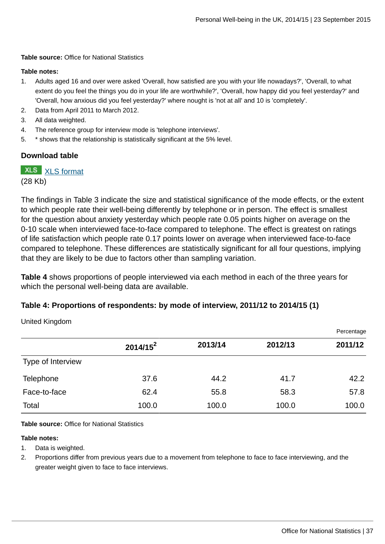**Table source:** Office for National Statistics

#### **Table notes:**

- 1. Adults aged 16 and over were asked 'Overall, how satisfied are you with your life nowadays?', 'Overall, to what extent do you feel the things you do in your life are worthwhile?', 'Overall, how happy did you feel yesterday?' and 'Overall, how anxious did you feel yesterday?' where nought is 'not at all' and 10 is 'completely'.
- 2. Data from April 2011 to March 2012.
- 3. All data weighted.
- 4. The reference group for interview mode is 'telephone interviews'.
- 5. \* shows that the relationship is statistically significant at the 5% level.

#### **Download table**

# **XLS** [XLS format](http://www.ons.gov.uk:80/ons/rel/wellbeing/measuring-national-well-being/personal-well-being-in-the-uk--2014-15/prt-table-3.xls)

(28 Kb)

The findings in Table 3 indicate the size and statistical significance of the mode effects, or the extent to which people rate their well-being differently by telephone or in person. The effect is smallest for the question about anxiety yesterday which people rate 0.05 points higher on average on the 0-10 scale when interviewed face-to-face compared to telephone. The effect is greatest on ratings of life satisfaction which people rate 0.17 points lower on average when interviewed face-to-face compared to telephone. These differences are statistically significant for all four questions, implying that they are likely to be due to factors other than sampling variation.

**Table 4** shows proportions of people interviewed via each method in each of the three years for which the personal well-being data are available.

#### **Table 4: Proportions of respondents: by mode of interview, 2011/12 to 2014/15 (1)**

United Kingdom

|                   |             |         |         | Percentage |
|-------------------|-------------|---------|---------|------------|
|                   | $2014/15^2$ | 2013/14 | 2012/13 | 2011/12    |
| Type of Interview |             |         |         |            |
| Telephone         | 37.6        | 44.2    | 41.7    | 42.2       |
| Face-to-face      | 62.4        | 55.8    | 58.3    | 57.8       |
| Total             | 100.0       | 100.0   | 100.0   | 100.0      |

**Table source:** Office for National Statistics

#### **Table notes:**

- 1. Data is weighted.
- 2. Proportions differ from previous years due to a movement from telephone to face to face interviewing, and the greater weight given to face to face interviews.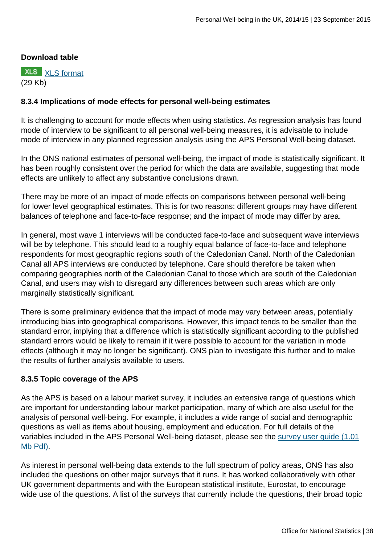#### **Download table**

**XLS** [XLS format](http://www.ons.gov.uk:80/ons/rel/wellbeing/measuring-national-well-being/personal-well-being-in-the-uk--2014-15/prt-table-4.xls) (29 Kb)

#### **8.3.4 Implications of mode effects for personal well-being estimates**

It is challenging to account for mode effects when using statistics. As regression analysis has found mode of interview to be significant to all personal well-being measures, it is advisable to include mode of interview in any planned regression analysis using the APS Personal Well-being dataset.

In the ONS national estimates of personal well-being, the impact of mode is statistically significant. It has been roughly consistent over the period for which the data are available, suggesting that mode effects are unlikely to affect any substantive conclusions drawn.

There may be more of an impact of mode effects on comparisons between personal well-being for lower level geographical estimates. This is for two reasons: different groups may have different balances of telephone and face-to-face response; and the impact of mode may differ by area.

In general, most wave 1 interviews will be conducted face-to-face and subsequent wave interviews will be by telephone. This should lead to a roughly equal balance of face-to-face and telephone respondents for most geographic regions south of the Caledonian Canal. North of the Caledonian Canal all APS interviews are conducted by telephone. Care should therefore be taken when comparing geographies north of the Caledonian Canal to those which are south of the Caledonian Canal, and users may wish to disregard any differences between such areas which are only marginally statistically significant.

There is some preliminary evidence that the impact of mode may vary between areas, potentially introducing bias into geographical comparisons. However, this impact tends to be smaller than the standard error, implying that a difference which is statistically significant according to the published standard errors would be likely to remain if it were possible to account for the variation in mode effects (although it may no longer be significant). ONS plan to investigate this further and to make the results of further analysis available to users.

#### **8.3.5 Topic coverage of the APS**

As the APS is based on a labour market survey, it includes an extensive range of questions which are important for understanding labour market participation, many of which are also useful for the analysis of personal well-being. For example, it includes a wide range of social and demographic questions as well as items about housing, employment and education. For full details of the variables included in the APS Personal Well-being dataset, please see the [survey user guide \(1.01](http://www.ons.gov.uk:80/ons/guide-method/method-quality/specific/social-and-welfare-methodology/subjective-wellbeing-survey-user-guide/personal-well-being-survey-user-guide--2013-2014-dataset.pdf) [Mb Pdf\)](http://www.ons.gov.uk:80/ons/guide-method/method-quality/specific/social-and-welfare-methodology/subjective-wellbeing-survey-user-guide/personal-well-being-survey-user-guide--2013-2014-dataset.pdf).

As interest in personal well-being data extends to the full spectrum of policy areas, ONS has also included the questions on other major surveys that it runs. It has worked collaboratively with other UK government departments and with the European statistical institute, Eurostat, to encourage wide use of the questions. A list of the surveys that currently include the questions, their broad topic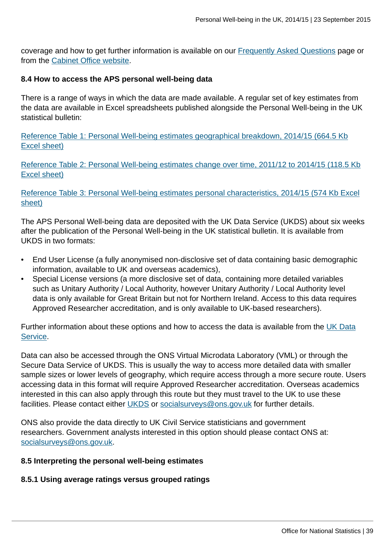coverage and how to get further information is available on our [Frequently Asked Questions](http://www.ons.gov.uk:80/ons/guide-method/method-quality/specific/social-and-welfare-methodology/subjective-wellbeing-survey-user-guide/subjective-well-being-frequently-asked-questions--faq-s-.html) page or from the [Cabinet Office website](http://www.ons.gov.uk:80/ons/external-links/other-government-departments/cabinet-office/wellbeing-policy-and-analysis.html).

#### **8.4 How to access the APS personal well-being data**

There is a range of ways in which the data are made available. A regular set of key estimates from the data are available in Excel spreadsheets published alongside the Personal Well-being in the UK statistical bulletin:

[Reference Table 1: Personal Well-being estimates geographical breakdown, 2014/15 \(664.5 Kb](http://www.ons.gov.uk:80/ons/rel/wellbeing/measuring-national-well-being/personal-well-being-in-the-uk--2014-15/rft-table-1.xls) [Excel sheet\)](http://www.ons.gov.uk:80/ons/rel/wellbeing/measuring-national-well-being/personal-well-being-in-the-uk--2014-15/rft-table-1.xls)

[Reference Table 2: Personal Well-being estimates change over time, 2011/12 to 2014/15 \(118.5 Kb](http://www.ons.gov.uk:80/ons/rel/wellbeing/measuring-national-well-being/personal-well-being-in-the-uk--2014-15/rft-table-2.xls) [Excel sheet\)](http://www.ons.gov.uk:80/ons/rel/wellbeing/measuring-national-well-being/personal-well-being-in-the-uk--2014-15/rft-table-2.xls)

[Reference Table 3: Personal Well-being estimates personal characteristics, 2014/15 \(574 Kb Excel](http://www.ons.gov.uk:80/ons/rel/wellbeing/measuring-national-well-being/personal-well-being-in-the-uk--2014-15/rft-table-3.xls) [sheet\)](http://www.ons.gov.uk:80/ons/rel/wellbeing/measuring-national-well-being/personal-well-being-in-the-uk--2014-15/rft-table-3.xls)

The APS Personal Well-being data are deposited with the UK Data Service (UKDS) about six weeks after the publication of the Personal Well-being in the UK statistical bulletin. It is available from UKDS in two formats:

- End User License (a fully anonymised non-disclosive set of data containing basic demographic information, available to UK and overseas academics),
- Special License versions (a more disclosive set of data, containing more detailed variables such as Unitary Authority / Local Authority, however Unitary Authority / Local Authority level data is only available for Great Britain but not for Northern Ireland. Access to this data requires Approved Researcher accreditation, and is only available to UK-based researchers).

Further information about these options and how to access the data is available from the [UK Data](http://www.ons.gov.uk:80/ons/external-links/academic/uk-data-service.html) [Service](http://www.ons.gov.uk:80/ons/external-links/academic/uk-data-service.html).

Data can also be accessed through the ONS Virtual Microdata Laboratory (VML) or through the Secure Data Service of UKDS. This is usually the way to access more detailed data with smaller sample sizes or lower levels of geography, which require access through a more secure route. Users accessing data in this format will require Approved Researcher accreditation. Overseas academics interested in this can also apply through this route but they must travel to the UK to use these facilities. Please contact either [UKDS](http://www.ons.gov.uk:80/ons/external-links/academic/uk-data-service.html) or [socialsurveys@ons.gov.uk](mailto:socialsurveys@ons.gov.uk) for further details.

ONS also provide the data directly to UK Civil Service statisticians and government researchers. Government analysts interested in this option should please contact ONS at: [socialsurveys@ons.gov.uk.](mailto:socialsurveys@ons.gov.uk)

#### **8.5 Interpreting the personal well-being estimates**

#### **8.5.1 Using average ratings versus grouped ratings**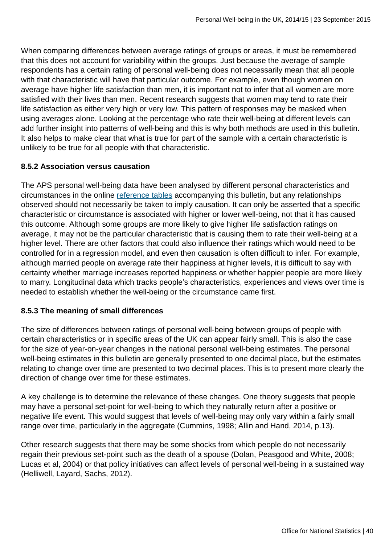When comparing differences between average ratings of groups or areas, it must be remembered that this does not account for variability within the groups. Just because the average of sample respondents has a certain rating of personal well-being does not necessarily mean that all people with that characteristic will have that particular outcome. For example, even though women on average have higher life satisfaction than men, it is important not to infer that all women are more satisfied with their lives than men. Recent research suggests that women may tend to rate their life satisfaction as either very high or very low. This pattern of responses may be masked when using averages alone. Looking at the percentage who rate their well-being at different levels can add further insight into patterns of well-being and this is why both methods are used in this bulletin. It also helps to make clear that what is true for part of the sample with a certain characteristic is unlikely to be true for all people with that characteristic.

#### **8.5.2 Association versus causation**

The APS personal well-being data have been analysed by different personal characteristics and circumstances in the online [reference tables](http://www.ons.gov.uk/ons/publications/re-reference-tables.html?edition=tcm%3A77-407641) accompanying this bulletin, but any relationships observed should not necessarily be taken to imply causation. It can only be asserted that a specific characteristic or circumstance is associated with higher or lower well-being, not that it has caused this outcome. Although some groups are more likely to give higher life satisfaction ratings on average, it may not be the particular characteristic that is causing them to rate their well-being at a higher level. There are other factors that could also influence their ratings which would need to be controlled for in a regression model, and even then causation is often difficult to infer. For example, although married people on average rate their happiness at higher levels, it is difficult to say with certainty whether marriage increases reported happiness or whether happier people are more likely to marry. Longitudinal data which tracks people's characteristics, experiences and views over time is needed to establish whether the well-being or the circumstance came first.

#### **8.5.3 The meaning of small differences**

The size of differences between ratings of personal well-being between groups of people with certain characteristics or in specific areas of the UK can appear fairly small. This is also the case for the size of year-on-year changes in the national personal well-being estimates. The personal well-being estimates in this bulletin are generally presented to one decimal place, but the estimates relating to change over time are presented to two decimal places. This is to present more clearly the direction of change over time for these estimates.

A key challenge is to determine the relevance of these changes. One theory suggests that people may have a personal set-point for well-being to which they naturally return after a positive or negative life event. This would suggest that levels of well-being may only vary within a fairly small range over time, particularly in the aggregate (Cummins, 1998; Allin and Hand, 2014, p.13).

Other research suggests that there may be some shocks from which people do not necessarily regain their previous set-point such as the death of a spouse (Dolan, Peasgood and White, 2008; Lucas et al, 2004) or that policy initiatives can affect levels of personal well-being in a sustained way (Helliwell, Layard, Sachs, 2012).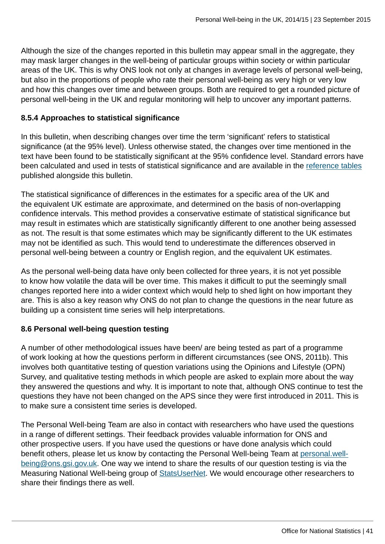Although the size of the changes reported in this bulletin may appear small in the aggregate, they may mask larger changes in the well-being of particular groups within society or within particular areas of the UK. This is why ONS look not only at changes in average levels of personal well-being, but also in the proportions of people who rate their personal well-being as very high or very low and how this changes over time and between groups. Both are required to get a rounded picture of personal well-being in the UK and regular monitoring will help to uncover any important patterns.

#### **8.5.4 Approaches to statistical significance**

In this bulletin, when describing changes over time the term 'significant' refers to statistical significance (at the 95% level). Unless otherwise stated, the changes over time mentioned in the text have been found to be statistically significant at the 95% confidence level. Standard errors have been calculated and used in tests of statistical significance and are available in the [reference tables](http://www.ons.gov.uk/ons/publications/re-reference-tables.html?edition=tcm%3A77-407641) published alongside this bulletin.

The statistical significance of differences in the estimates for a specific area of the UK and the equivalent UK estimate are approximate, and determined on the basis of non-overlapping confidence intervals. This method provides a conservative estimate of statistical significance but may result in estimates which are statistically significantly different to one another being assessed as not. The result is that some estimates which may be significantly different to the UK estimates may not be identified as such. This would tend to underestimate the differences observed in personal well-being between a country or English region, and the equivalent UK estimates.

As the personal well-being data have only been collected for three years, it is not yet possible to know how volatile the data will be over time. This makes it difficult to put the seemingly small changes reported here into a wider context which would help to shed light on how important they are. This is also a key reason why ONS do not plan to change the questions in the near future as building up a consistent time series will help interpretations.

## **8.6 Personal well-being question testing**

A number of other methodological issues have been/ are being tested as part of a programme of work looking at how the questions perform in different circumstances (see ONS, 2011b). This involves both quantitative testing of question variations using the Opinions and Lifestyle (OPN) Survey, and qualitative testing methods in which people are asked to explain more about the way they answered the questions and why. It is important to note that, although ONS continue to test the questions they have not been changed on the APS since they were first introduced in 2011. This is to make sure a consistent time series is developed.

The Personal Well-being Team are also in contact with researchers who have used the questions in a range of different settings. Their feedback provides valuable information for ONS and other prospective users. If you have used the questions or have done analysis which could benefit others, please let us know by contacting the Personal Well-being Team at [personal.well](mailto:personal.well-being@ons.gsi.gov.uk)[being@ons.gsi.gov.uk.](mailto:personal.well-being@ons.gsi.gov.uk) One way we intend to share the results of our question testing is via the Measuring National Well-being group of [StatsUserNet](http://www.ons.gov.uk:80/ons/external-links/organisations/statsusernet/statsusernet-home.html). We would encourage other researchers to share their findings there as well.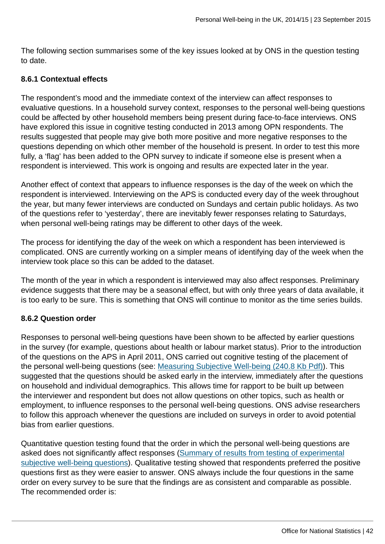The following section summarises some of the key issues looked at by ONS in the question testing to date.

#### **8.6.1 Contextual effects**

The respondent's mood and the immediate context of the interview can affect responses to evaluative questions. In a household survey context, responses to the personal well-being questions could be affected by other household members being present during face-to-face interviews. ONS have explored this issue in cognitive testing conducted in 2013 among OPN respondents. The results suggested that people may give both more positive and more negative responses to the questions depending on which other member of the household is present. In order to test this more fully, a 'flag' has been added to the OPN survey to indicate if someone else is present when a respondent is interviewed. This work is ongoing and results are expected later in the year.

Another effect of context that appears to influence responses is the day of the week on which the respondent is interviewed. Interviewing on the APS is conducted every day of the week throughout the year, but many fewer interviews are conducted on Sundays and certain public holidays. As two of the questions refer to 'yesterday', there are inevitably fewer responses relating to Saturdays, when personal well-being ratings may be different to other days of the week.

The process for identifying the day of the week on which a respondent has been interviewed is complicated. ONS are currently working on a simpler means of identifying day of the week when the interview took place so this can be added to the dataset.

The month of the year in which a respondent is interviewed may also affect responses. Preliminary evidence suggests that there may be a seasonal effect, but with only three years of data available, it is too early to be sure. This is something that ONS will continue to monitor as the time series builds.

#### **8.6.2 Question order**

Responses to personal well-being questions have been shown to be affected by earlier questions in the survey (for example, questions about health or labour market status). Prior to the introduction of the questions on the APS in April 2011, ONS carried out cognitive testing of the placement of the personal well-being questions (see: [Measuring Subjective Well-being \(240.8 Kb Pdf\)\)](http://www.ons.gov.uk:80/ons/guide-method/user-guidance/well-being/wellbeing-knowledge-bank/understanding-wellbeing/measuring-subjective-well-being.pdf). This suggested that the questions should be asked early in the interview, immediately after the questions on household and individual demographics. This allows time for rapport to be built up between the interviewer and respondent but does not allow questions on other topics, such as health or employment, to influence responses to the personal well-being questions. ONS advise researchers to follow this approach whenever the questions are included on surveys in order to avoid potential bias from earlier questions.

Quantitative question testing found that the order in which the personal well-being questions are asked does not significantly affect responses [\(Summary of results from testing of experimental](http://www.ons.gov.uk:80/ons/guide-method/user-guidance/well-being/about-the-programme/advisory-groups/well-being-technical-advisory-group/index.html) [subjective well-being questions\)](http://www.ons.gov.uk:80/ons/guide-method/user-guidance/well-being/about-the-programme/advisory-groups/well-being-technical-advisory-group/index.html). Qualitative testing showed that respondents preferred the positive questions first as they were easier to answer. ONS always include the four questions in the same order on every survey to be sure that the findings are as consistent and comparable as possible. The recommended order is: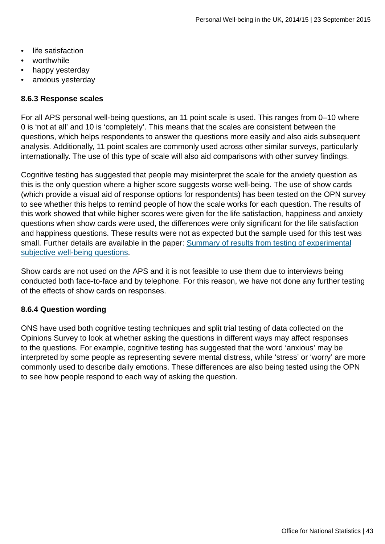- life satisfaction
- worthwhile
- happy yesterday
- anxious yesterday

#### **8.6.3 Response scales**

For all APS personal well-being questions, an 11 point scale is used. This ranges from 0–10 where 0 is 'not at all' and 10 is 'completely'. This means that the scales are consistent between the questions, which helps respondents to answer the questions more easily and also aids subsequent analysis. Additionally, 11 point scales are commonly used across other similar surveys, particularly internationally. The use of this type of scale will also aid comparisons with other survey findings.

Cognitive testing has suggested that people may misinterpret the scale for the anxiety question as this is the only question where a higher score suggests worse well-being. The use of show cards (which provide a visual aid of response options for respondents) has been tested on the OPN survey to see whether this helps to remind people of how the scale works for each question. The results of this work showed that while higher scores were given for the life satisfaction, happiness and anxiety questions when show cards were used, the differences were only significant for the life satisfaction and happiness questions. These results were not as expected but the sample used for this test was small. Further details are available in the paper: [Summary of results from testing of experimental](http://www.ons.gov.uk:80/ons/guide-method/user-guidance/well-being/about-the-programme/advisory-groups/well-being-technical-advisory-group/index.html) [subjective well-being questions.](http://www.ons.gov.uk:80/ons/guide-method/user-guidance/well-being/about-the-programme/advisory-groups/well-being-technical-advisory-group/index.html)

Show cards are not used on the APS and it is not feasible to use them due to interviews being conducted both face-to-face and by telephone. For this reason, we have not done any further testing of the effects of show cards on responses.

## **8.6.4 Question wording**

ONS have used both cognitive testing techniques and split trial testing of data collected on the Opinions Survey to look at whether asking the questions in different ways may affect responses to the questions. For example, cognitive testing has suggested that the word 'anxious' may be interpreted by some people as representing severe mental distress, while 'stress' or 'worry' are more commonly used to describe daily emotions. These differences are also being tested using the OPN to see how people respond to each way of asking the question.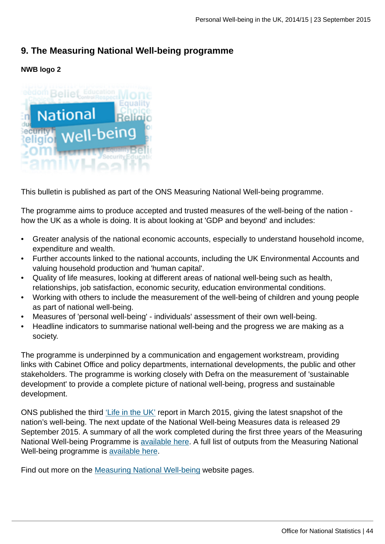# **9. The Measuring National Well-being programme**

#### **NWB logo 2**



This bulletin is published as part of the ONS Measuring National Well-being programme.

The programme aims to produce accepted and trusted measures of the well-being of the nation how the UK as a whole is doing. It is about looking at 'GDP and beyond' and includes:

- Greater analysis of the national economic accounts, especially to understand household income, expenditure and wealth.
- Further accounts linked to the national accounts, including the UK Environmental Accounts and valuing household production and 'human capital'.
- Quality of life measures, looking at different areas of national well-being such as health, relationships, job satisfaction, economic security, education environmental conditions.
- Working with others to include the measurement of the well-being of children and young people as part of national well-being.
- Measures of 'personal well-being' individuals' assessment of their own well-being.
- Headline indicators to summarise national well-being and the progress we are making as a society.

The programme is underpinned by a communication and engagement workstream, providing links with Cabinet Office and policy departments, international developments, the public and other stakeholders. The programme is working closely with Defra on the measurement of 'sustainable development' to provide a complete picture of national well-being, progress and sustainable development.

ONS published the third ['Life in the UK'](http://www.ons.gov.uk:80/ons/rel/wellbeing/measuring-national-well-being/life-in-the-uk--2015/index.html) report in March 2015, giving the latest snapshot of the nation's well-being. The next update of the National Well-being Measures data is released 29 September 2015. A summary of all the work completed during the first three years of the Measuring National Well-being Programme is [available here](http://www.ons.gov.uk:80/ons/rel/wellbeing/measuring-national-well-being/reflections-on-measuring-national-well-being--may-2014/index.html). A full list of outputs from the Measuring National Well-being programme is [available here.](http://www.ons.gov.uk:80/ons/guide-method/user-guidance/well-being/publications/index.html)

Find out more on the [Measuring National Well-being](http://www.ons.gov.uk:80/ons/guide-method/user-guidance/well-being/index.html) website pages.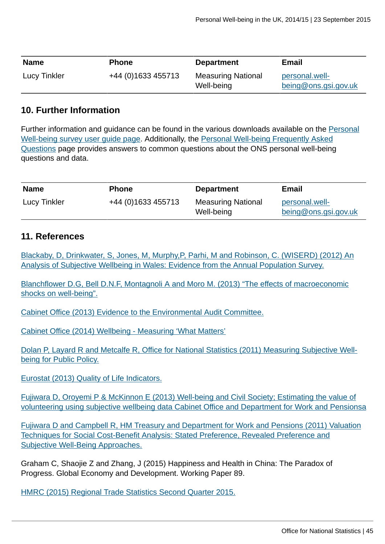| <b>Name</b>  | <b>Phone</b>       | <b>Department</b>                       | Email                                  |
|--------------|--------------------|-----------------------------------------|----------------------------------------|
| Lucy Tinkler | +44 (0)1633 455713 | <b>Measuring National</b><br>Well-being | personal.well-<br>being@ons.gsi.gov.uk |

# **10. Further Information**

Further information and guidance can be found in the various downloads available on the [Personal](http://www.ons.gov.uk:80/ons/guide-method/method-quality/specific/social-and-welfare-methodology/subjective-wellbeing-survey-user-guide/index.html) [Well-being survey user guide page.](http://www.ons.gov.uk:80/ons/guide-method/method-quality/specific/social-and-welfare-methodology/subjective-wellbeing-survey-user-guide/index.html) Additionally, the [Personal Well-being Frequently Asked](http://www.ons.gov.uk:80/ons/guide-method/method-quality/specific/social-and-welfare-methodology/subjective-wellbeing-survey-user-guide/subjective-well-being-frequently-asked-questions--faq-s-.html) [Questions](http://www.ons.gov.uk:80/ons/guide-method/method-quality/specific/social-and-welfare-methodology/subjective-wellbeing-survey-user-guide/subjective-well-being-frequently-asked-questions--faq-s-.html) page provides answers to common questions about the ONS personal well-being questions and data.

| <b>Name</b>  | <b>Phone</b>       | <b>Department</b>                       | <b>Email</b>                           |
|--------------|--------------------|-----------------------------------------|----------------------------------------|
| Lucy Tinkler | +44 (0)1633 455713 | <b>Measuring National</b><br>Well-being | personal.well-<br>being@ons.gsi.gov.uk |

## **11. References**

[Blackaby, D, Drinkwater, S, Jones, M, Murphy,P, Parhi, M and Robinson, C. \(WISERD\) \(2012\) An](http://gov.wales/docs/caecd/research/121031wellbeingen.pdf) [Analysis of Subjective Wellbeing in Wales: Evidence from the Annual Population Survey.](http://gov.wales/docs/caecd/research/121031wellbeingen.pdf)

[Blanchflower D.G, Bell D.N.F, Montagnoli A and Moro M. \(2013\) "The effects of macroeconomic](http://www.bostonfed.org/employment2013/papers/Blanchflower_Session5.pdf) [shocks on well-being".](http://www.bostonfed.org/employment2013/papers/Blanchflower_Session5.pdf)

[Cabinet Office \(2013\) Evidence to the Environmental Audit Committee.](http://data.parliament.uk/writtenevidence/WrittenEvidence.svc/EvidencePdf/1069)

[Cabinet Office \(2014\) Wellbeing - Measuring 'What Matters'](https://coanalysis.blog.gov.uk/2014/08/06/wellbeing-measuring-what-matters/)

[Dolan P, Layard R and Metcalfe R, Office for National Statistics \(2011\) Measuring Subjective Well](http://www.ons.gov.uk/ons/guide-method/user-guidance/well-being/publications/measuring-subjective-well-being-for-public-policy.pdf)[being for Public Policy.](http://www.ons.gov.uk/ons/guide-method/user-guidance/well-being/publications/measuring-subjective-well-being-for-public-policy.pdf)

[Eurostat \(2013\) Quality of Life Indicators.](http://ec.europa.eu/eurostat/statistics-explained/index.php/Quality_of_life_indicators)

[Fujiwara D, Oroyemi P & McKinnon E \(2013\) Well-being and Civil Society; Estimating the value of](https://www.gov.uk/government/publications/wellbeing-and-civil-society-estimating-the-value-of-volunteering-using-subjective-wellbeing-data-wp112) [volunteering using subjective wellbeing data Cabinet Office and Department for Work and Pensionsa](https://www.gov.uk/government/publications/wellbeing-and-civil-society-estimating-the-value-of-volunteering-using-subjective-wellbeing-data-wp112)

[Fujiwara D and Campbell R, HM Treasury and Department for Work and Pensions \(2011\) Valuation](https://www.gov.uk/government/publications/valuation-techniques-for-social-cost-benefit-analysis) [Techniques for Social Cost-Benefit Analysis: Stated Preference, Revealed Preference and](https://www.gov.uk/government/publications/valuation-techniques-for-social-cost-benefit-analysis) [Subjective Well-Being Approaches.](https://www.gov.uk/government/publications/valuation-techniques-for-social-cost-benefit-analysis)

Graham C, Shaojie Z and Zhang, J (2015) Happiness and Health in China: The Paradox of Progress. Global Economy and Development. Working Paper 89.

[HMRC \(2015\) Regional Trade Statistics Second Quarter 2015.](https://www.uktradeinfo.com/Statistics/RTS/Pages/default.aspx)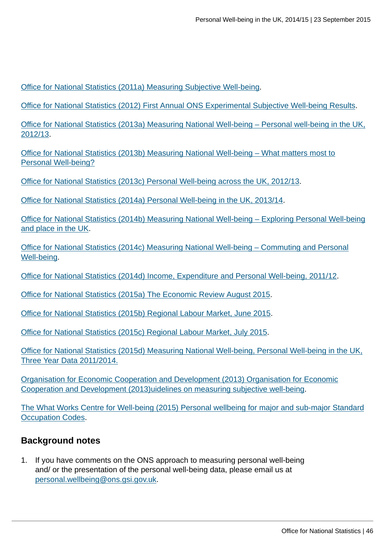[Office for National Statistics \(2011a\) Measuring Subjective Well-being.](http://www.ons.gov.uk/ons/guide-method/user-guidance/well-being/wellbeing-knowledge-bank/understanding-wellbeing/measuring-subjective-well-being.pdf)

[Office for National Statistics \(2012\) First Annual ONS Experimental Subjective Well-being Results](http://www.ons.gov.uk/ons/rel/wellbeing/measuring-subjective-wellbeing-in-the-uk/first-annual-ons-experimental-subjective-well-being-results/index.html).

[Office for National Statistics \(2013a\) Measuring National Well-being – Personal well-being in the UK,](http://www.ons.gov.uk/ons/rel/wellbeing/measuring-national-well-being/personal-well-being-in-the-uk--2012-13/index.html) [2012/13.](http://www.ons.gov.uk/ons/rel/wellbeing/measuring-national-well-being/personal-well-being-in-the-uk--2012-13/index.html)

[Office for National Statistics \(2013b\) Measuring National Well-being – What matters most to](http://www.ons.gov.uk/ons/rel/wellbeing/measuring-subjective-wellbeing-in-the-uk/first-annual-ons-experimental-subjective-well-being-results/index.html) [Personal Well-being?](http://www.ons.gov.uk/ons/rel/wellbeing/measuring-subjective-wellbeing-in-the-uk/first-annual-ons-experimental-subjective-well-being-results/index.html)

[Office for National Statistics \(2013c\) Personal Well-being across the UK, 2012/13.](http://www.ons.gov.uk/ons/rel/wellbeing/measuring-national-well-being/personal-well-being-across-the-uk--2012-13/index.html)

[Office for National Statistics \(2014a\) Personal Well-being in the UK, 2013/14](http://www.ons.gov.uk/ons/rel/wellbeing/measuring-national-well-being/personal-well-being-in-the-uk--2013-14/index.html).

[Office for National Statistics \(2014b\) Measuring National Well-being – Exploring Personal Well-being](http://www.ons.gov.uk/ons/rel/regional-trends/regional-economic-analysis/exploring-personal-well-being-and-place-in-the-uk/art-exploring-personal-well-being-and-place.html) [and place in the UK](http://www.ons.gov.uk/ons/rel/regional-trends/regional-economic-analysis/exploring-personal-well-being-and-place-in-the-uk/art-exploring-personal-well-being-and-place.html).

[Office for National Statistics \(2014c\) Measuring National Well-being – Commuting and Personal](http://www.ons.gov.uk/ons/rel/wellbeing/measuring-national-well-being/commuting-and-personal-well-being--2014/index.html) [Well-being.](http://www.ons.gov.uk/ons/rel/wellbeing/measuring-national-well-being/commuting-and-personal-well-being--2014/index.html)

[Office for National Statistics \(2014d\) Income, Expenditure and Personal Well-being, 2011/12](http://www.ons.gov.uk/ons/rel/wellbeing/measuring-national-well-being/income--expenditure-and-personal-well-being/art--income--expenditure-and-personal-well-being.html).

[Office for National Statistics \(2015a\) The Economic Review August 2015](http://www.ons.gov.uk/ons/rel/elmr/economic-review/august-2015/index.html).

[Office for National Statistics \(2015b\) Regional Labour Market, June 2015](http://www.ons.gov.uk/ons/rel/subnational-labour/regional-labour-market-statistics/june-2015/index.html).

[Office for National Statistics \(2015c\) Regional Labour Market, July 2015.](http://www.ons.gov.uk/ons/rel/subnational-labour/regional-labour-market-statistics/july-2015/stb.html)

Office for National Statistics (2015d) Measuring National Well-being, Personal Well-being in the UK, Three Year Data 2011/2014.

[Organisation for Economic Cooperation and Development \(2013\) Organisation for Economic](http://www.oecd-ilibrary.org/economics/oecd-guidelines-on-measuring-subjective-well-being_9789264191655-en) [Cooperation and Development \(2013\)uidelines on measuring subjective well-being](http://www.oecd-ilibrary.org/economics/oecd-guidelines-on-measuring-subjective-well-being_9789264191655-en).

[The What Works Centre for Well-being \(2015\) Personal wellbeing for major and sub-major Standard](http://whatworkswellbeing.org/wellbeing-2/wellbeing-data/personal-wellbeing-for-major-and-sub-major-standard-occupation-codes/) [Occupation Codes](http://whatworkswellbeing.org/wellbeing-2/wellbeing-data/personal-wellbeing-for-major-and-sub-major-standard-occupation-codes/).

## **Background notes**

1. If you have comments on the ONS approach to measuring personal well-being and/ or the presentation of the personal well-being data, please email us at [personal.wellbeing@ons.gsi.gov.uk.](mailto:personal.wellbeing@ons.gsi.gov.uk)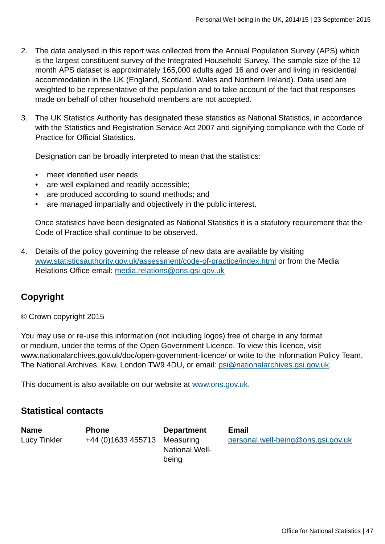- 2. The data analysed in this report was collected from the Annual Population Survey (APS) which is the largest constituent survey of the Integrated Household Survey. The sample size of the 12 month APS dataset is approximately 165,000 adults aged 16 and over and living in residential accommodation in the UK (England, Scotland, Wales and Northern Ireland). Data used are weighted to be representative of the population and to take account of the fact that responses made on behalf of other household members are not accepted.
- 3. The UK Statistics Authority has designated these statistics as National Statistics, in accordance with the Statistics and Registration Service Act 2007 and signifying compliance with the Code of Practice for Official Statistics.

Designation can be broadly interpreted to mean that the statistics:

- meet identified user needs;
- are well explained and readily accessible;
- are produced according to sound methods; and
- are managed impartially and objectively in the public interest.

Once statistics have been designated as National Statistics it is a statutory requirement that the Code of Practice shall continue to be observed.

4. Details of the policy governing the release of new data are available by visiting [www.statisticsauthority.gov.uk/assessment/code-of-practice/index.html](http://www.statisticsauthority.gov.uk/assessment/code-of-practice/index.html) or from the Media Relations Office email: [media.relations@ons.gsi.gov.uk](mailto:media.relations@ons.gsi.gov.uk)

# **Copyright**

© Crown copyright 2015

You may use or re-use this information (not including logos) free of charge in any format or medium, under the terms of the Open Government Licence. To view this licence, visit www.nationalarchives.gov.uk/doc/open-government-licence/ or write to the Information Policy Team, The National Archives, Kew, London TW9 4DU, or email: [psi@nationalarchives.gsi.gov.uk](mailto:psi@nationalarchives.gsi.gov.uk).

This document is also available on our website at [www.ons.gov.uk.](http://www.ons.gov.uk/)

## **Statistical contacts**

**Name Phone Department Email**

Lucy Tinkler  $+44$  (0)1633 455713 Measuring National Wellbeing

[personal.well-being@ons.gsi.gov.uk](mailto:personal.well-being@ons.gsi.gov.uk)